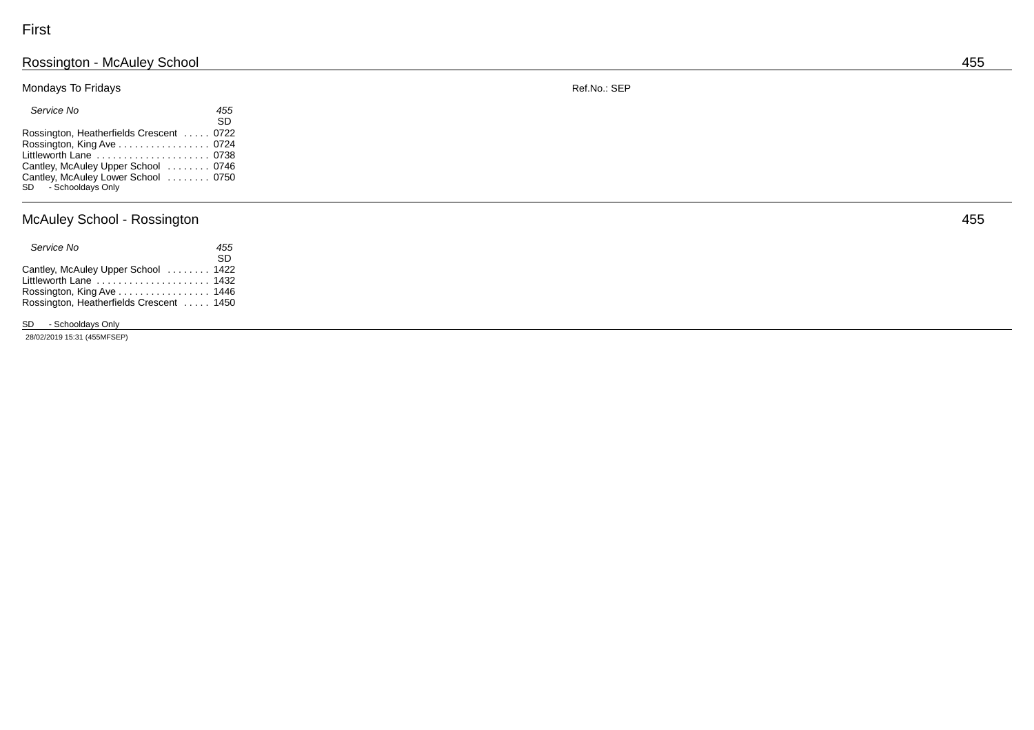#### Rossington - McAuley School 455

### Mondays To Fridays

| Service No                                                  | 455       |
|-------------------------------------------------------------|-----------|
|                                                             | <b>SD</b> |
| Rossington, Heatherfields Crescent  0722                    |           |
| Rossington, King Ave 0724                                   |           |
| Littleworth Lane  0738                                      |           |
| Cantley, McAuley Upper School  0746                         |           |
| Cantley, McAuley Lower School  0750<br>SD - Schooldays Only |           |

## McAuley School - Rossing

| Service No                               | 455 |
|------------------------------------------|-----|
|                                          | SD. |
| Cantley, McAuley Upper School  1422      |     |
| Littleworth Lane  1432                   |     |
| Rossington, King Ave 1446                |     |
| Rossington, Heatherfields Crescent  1450 |     |

### SD - Schooldays Only

28 /02 /2019 15 :31 (455 M FSEP)

ton 455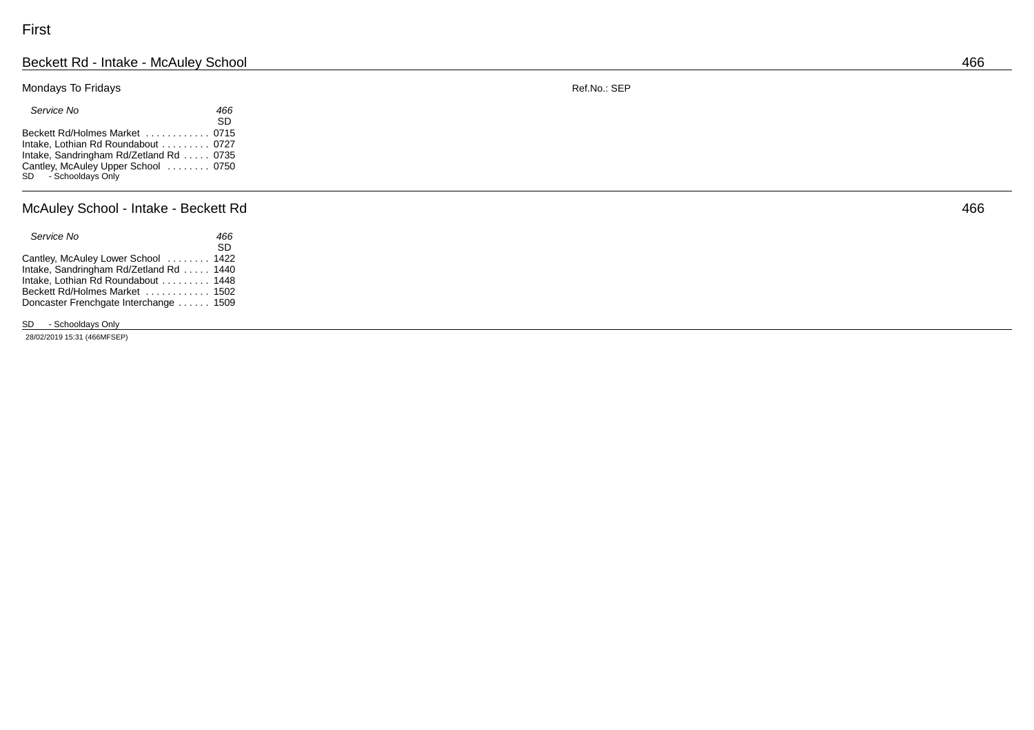#### Beckett Rd - Intake - McAuley School 466

### Mondays To Fridays

| Service No                             | 466       |
|----------------------------------------|-----------|
|                                        | <b>SD</b> |
| Beckett Rd/Holmes Market  0715         |           |
| Intake, Lothian Rd Roundabout  0727    |           |
| Intake, Sandringham Rd/Zetland Rd 0735 |           |
| Cantley, McAuley Upper School  0750    |           |
| SD - Schooldays Only                   |           |

#### McAuley School - Intake - Beck ett Rd 466

| Service No                             | 466 |
|----------------------------------------|-----|
|                                        | SD. |
| Cantley, McAuley Lower School  1422    |     |
| Intake, Sandringham Rd/Zetland Rd 1440 |     |
| Intake. Lothian Rd Roundabout 1448     |     |
| Beckett Rd/Holmes Market  1502         |     |
| Doncaster Frenchgate Interchange  1509 |     |
|                                        |     |

### SD - Schooldays Only

28 /02 /2019 15 :31 (466 M FSEP)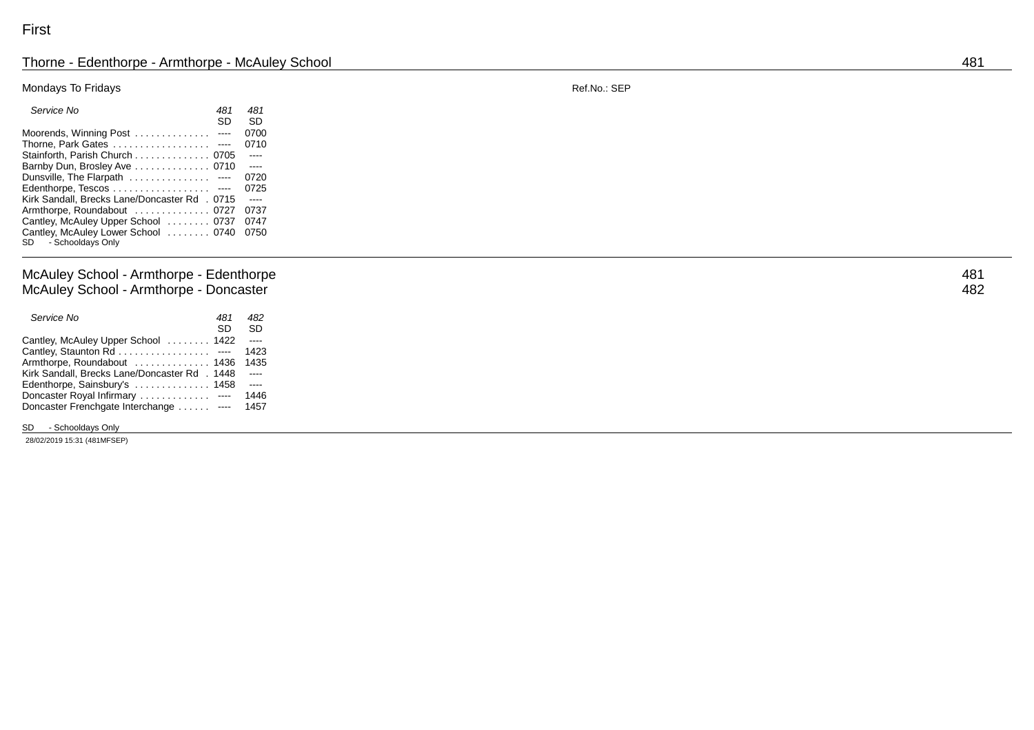#### Thorne - Edenthorpe - Armthorpe - McAuley School 481

### Mondays To Fridays

| Service No                                   | 481 | 481       |
|----------------------------------------------|-----|-----------|
|                                              | SD  | <b>SD</b> |
| Moorends, Winning Post  ----                 |     | 0700      |
| Thorne, Park Gates ----                      |     | 0710      |
| Stainforth, Parish Church 0705               |     | $-$ ---   |
| Barnby Dun, Brosley Ave 0710                 |     | $\sim$    |
| Dunsville, The Flarpath  ----                |     | 0720      |
| Edenthorpe, Tescos ----                      |     | 0725      |
| Kirk Sandall, Brecks Lane/Doncaster Rd. 0715 |     | $- - - -$ |
| Armthorpe, Roundabout  0727                  |     | 0737      |
| Cantley, McAuley Upper School  0737          |     | 0747      |
| Cantley, McAuley Lower School  0740          |     | 0750      |
| SD - Schooldays Only                         |     |           |
|                                              |     |           |

### McAuley School - Armthorpe - Edentho M c A ule y School - Armtho rpe - Doncas ter 482

| Service No                                    | 481 | 482       |
|-----------------------------------------------|-----|-----------|
|                                               | SD  | <b>SD</b> |
| Cantley, McAuley Upper School  1422           |     | $-$       |
| Cantley, Staunton Rd ----                     |     | 1423      |
| Armthorpe, Roundabout  1436                   |     | 1435      |
| Kirk Sandall, Brecks Lane/Doncaster Rd., 1448 |     |           |
| Edenthorpe, Sainsbury's  1458                 |     | $- - - -$ |
| Doncaster Royal Infirmary  ----               |     | 1446      |
| Doncaster Frenchgate Interchange ----         |     | 1457      |
|                                               |     |           |

SD - Schooldays Only

28 /02 /2019 15 :31 (481 M FSEP)

R ef.No.: SEP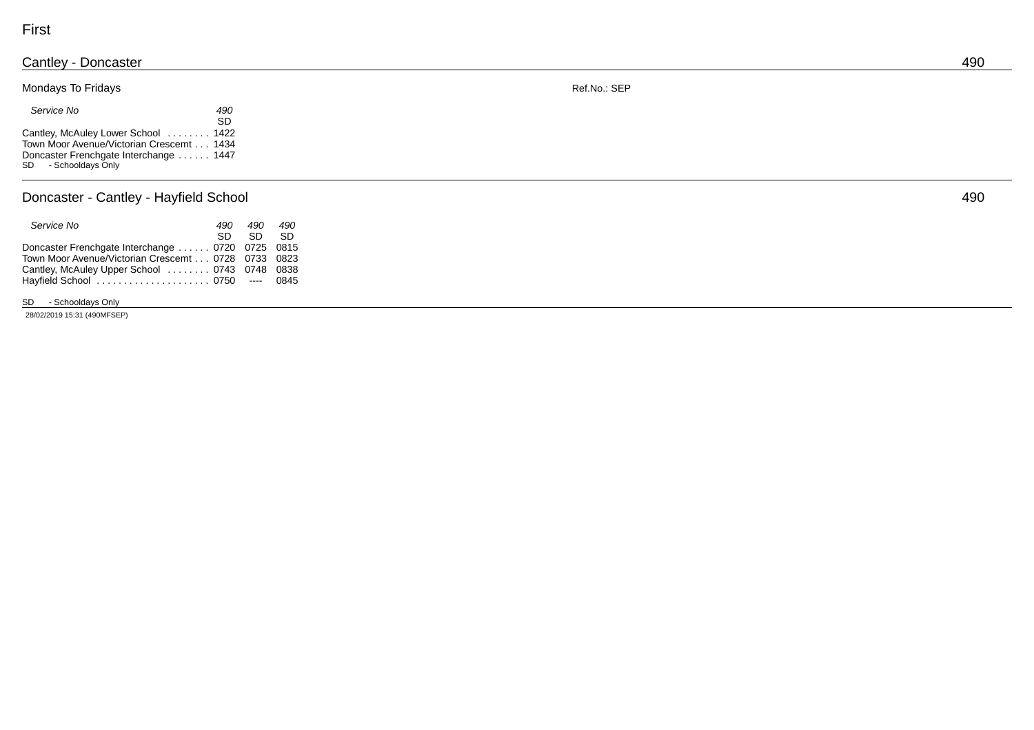### Cantle y - Doncas ter 490 Mondays To Fridays

 *Ser vic e No 490* SD in the state of the state of the state of the SD Cantley, McAuley Lower School ........ 1422 To w n Moor A venue / Victorian Cresc emt . . . 1434 Doncaster Frenchgate Interchange . . . . . . 1447

SD - Schooldays Only

#### Doncaster - Cantley - Hayfield School 490

| Service No                                         | 490 | 490      | 490 |  |
|----------------------------------------------------|-----|----------|-----|--|
|                                                    |     | sn sn sn |     |  |
| Doncaster Frenchgate Interchange  0720 0725 0815   |     |          |     |  |
| Town Moor Avenue/Victorian Crescemt 0728 0733 0823 |     |          |     |  |
| Cantley, McAuley Upper School  0743 0748 0838      |     |          |     |  |
| Hayfield School  0750 ---- 0845                    |     |          |     |  |
|                                                    |     |          |     |  |

SD - Schooldays Only

28 /02 /2019 15 :31 (490 M FSEP)

R ef.No.: SEP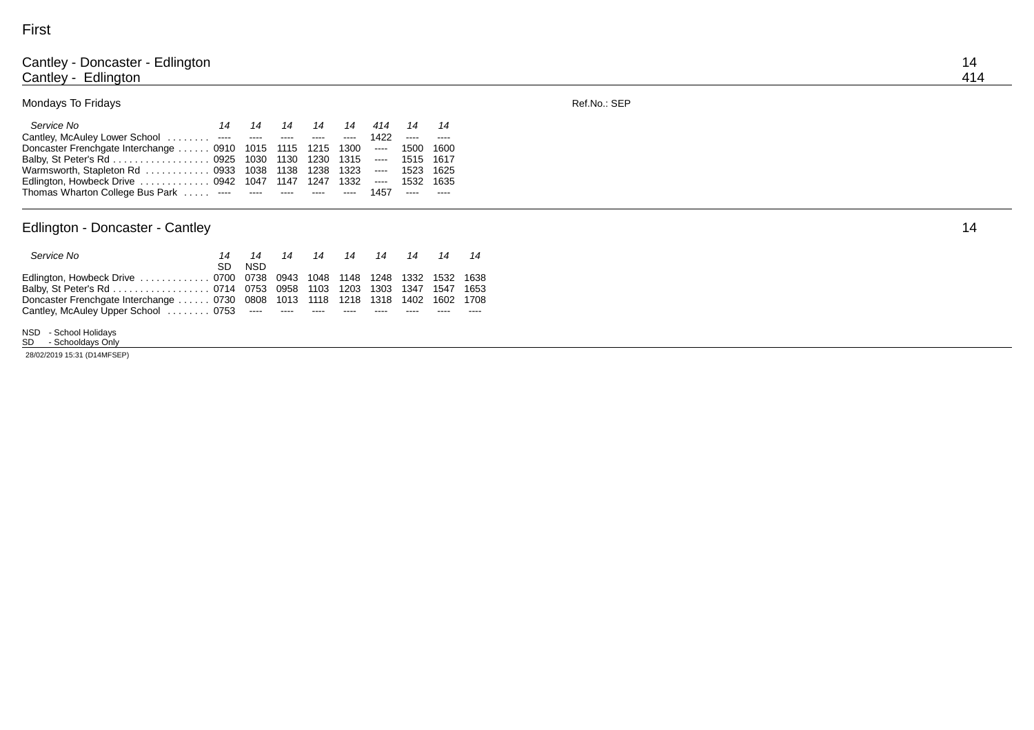#### Cantley - Doncaster - Edling ton to the contract of the contract of the contract of the contract of the contract of the contract of the contract of the contract of the contract of the contract of the contract of the contract of the contract of the con Cantley - Edling ton 414

### Mondays To Fridays

### *Ser vic e No 14 14 14 14 14 414 14 14* Cantley, McAuley Lower School . . . . . . . . ---- ---- ---- ---- 1422 ---- ----Doncaster Frenchgate Interchange . . . . . 0910 1015 1115 1215 1300 ---- 1500 1600 B alb y, St P e ter's Rd . . . . . . . . . . . . . . . . . . 0925 1030 1315 ---- 1515 1617<br>1323 ---- 1523 1625 Warmsworth, Stapleton Rd . . . . . . . . . . . 0933 1038 1138 1238 1323 ---- 1523 1625 E dling ton, Ho wbeck Drive . . . . . . . . . . . . . 0942 1047 1147 1247 1332 ---- 1532 1635 Thomas Wharton College Bus Park . . . . . ---- ---- ---- ---- 1457 ---- ----

#### Edlington - Doncaster - Can tley 14

| Service No                                                                     |     | 14   |  |  | 14 14 14 14 14 14 14 |  |
|--------------------------------------------------------------------------------|-----|------|--|--|----------------------|--|
|                                                                                | SD. | NSD. |  |  |                      |  |
| Edlington, Howbeck Drive  0700 0738 0943 1048 1148 1248 1332 1532 1638         |     |      |  |  |                      |  |
| Balby, St Peter's Rd 0714 0753 0958 1103 1203 1303 1347 1547 1653              |     |      |  |  |                      |  |
| Doncaster Frenchgate Interchange  0730 0808 1013 1118 1218 1318 1402 1602 1708 |     |      |  |  |                      |  |
| Cantley, McAuley Upper School 0753 ---- ---- ---- ---- ---- ----               |     |      |  |  |                      |  |

N S D - S chool H olidays

SD - Schooldays Only 28 /02 /2019 15 :31 ( D14 M FSEP) R ef.No.: SEP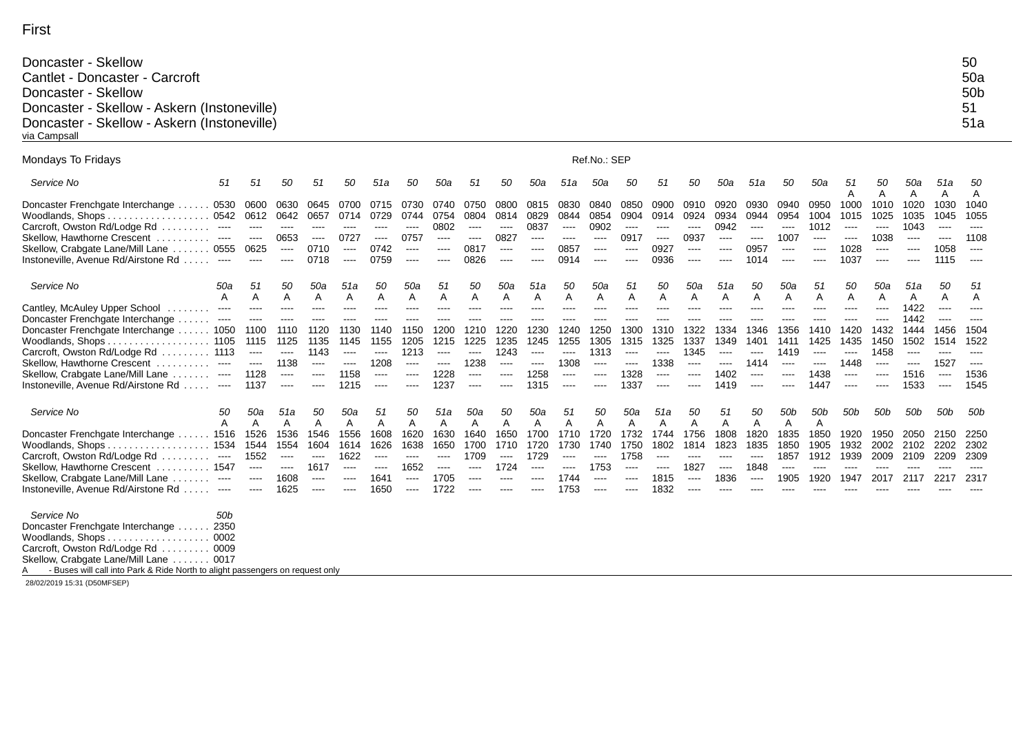| Doncaster - Skellow                         | 50  |
|---------------------------------------------|-----|
| Cantlet - Doncaster - Carcroft              | 50a |
| Doncaster - Skellow                         | 50b |
| Doncaster - Skellow - Askern (Instoneville) | 51  |
| Doncaster - Skellow - Askern (Instoneville) | 51a |
| via Campsall                                |     |

| Mondays To Fridays                                                                                                                                                                                                                                                                   |                                                                                       | Ref.No.: SEP                                                                |                                                                                                                                                                                                                                                                                                                                                                                                                                                                                                                        |                                                                               |                                                                                                                                                                                                                          |                                                                                                                                                                   |                                                                                                                                                                |                                                                         |                                                                                                                                                                                               |                                                                                   |                                                                                                                                                                                                                                                                                                                                                                                                                                                                                                                                                    |                                                                              |                                                                                                                                                                                                                                                                                                                                                                                                                                                                                                                                                                                                                                                                                                                                                                                                                                                                                                                                                                                                                                              |                                                                         |                                                                                      |                                                                  |                                                                         |                                                                                   |                                                                                                                                                                                                                                                                                                                                                                                                                                                                                                                                            |                                                                                                                                                                                                                                                                                                                                                                                                                                                                                                                                           |                                                                           |                                                                  |                                                                                  |                                                                              |                                                                                  |
|--------------------------------------------------------------------------------------------------------------------------------------------------------------------------------------------------------------------------------------------------------------------------------------|---------------------------------------------------------------------------------------|-----------------------------------------------------------------------------|------------------------------------------------------------------------------------------------------------------------------------------------------------------------------------------------------------------------------------------------------------------------------------------------------------------------------------------------------------------------------------------------------------------------------------------------------------------------------------------------------------------------|-------------------------------------------------------------------------------|--------------------------------------------------------------------------------------------------------------------------------------------------------------------------------------------------------------------------|-------------------------------------------------------------------------------------------------------------------------------------------------------------------|----------------------------------------------------------------------------------------------------------------------------------------------------------------|-------------------------------------------------------------------------|-----------------------------------------------------------------------------------------------------------------------------------------------------------------------------------------------|-----------------------------------------------------------------------------------|----------------------------------------------------------------------------------------------------------------------------------------------------------------------------------------------------------------------------------------------------------------------------------------------------------------------------------------------------------------------------------------------------------------------------------------------------------------------------------------------------------------------------------------------------|------------------------------------------------------------------------------|----------------------------------------------------------------------------------------------------------------------------------------------------------------------------------------------------------------------------------------------------------------------------------------------------------------------------------------------------------------------------------------------------------------------------------------------------------------------------------------------------------------------------------------------------------------------------------------------------------------------------------------------------------------------------------------------------------------------------------------------------------------------------------------------------------------------------------------------------------------------------------------------------------------------------------------------------------------------------------------------------------------------------------------------|-------------------------------------------------------------------------|--------------------------------------------------------------------------------------|------------------------------------------------------------------|-------------------------------------------------------------------------|-----------------------------------------------------------------------------------|--------------------------------------------------------------------------------------------------------------------------------------------------------------------------------------------------------------------------------------------------------------------------------------------------------------------------------------------------------------------------------------------------------------------------------------------------------------------------------------------------------------------------------------------|-------------------------------------------------------------------------------------------------------------------------------------------------------------------------------------------------------------------------------------------------------------------------------------------------------------------------------------------------------------------------------------------------------------------------------------------------------------------------------------------------------------------------------------------|---------------------------------------------------------------------------|------------------------------------------------------------------|----------------------------------------------------------------------------------|------------------------------------------------------------------------------|----------------------------------------------------------------------------------|
| Service No                                                                                                                                                                                                                                                                           | 51                                                                                    | 51                                                                          | 50                                                                                                                                                                                                                                                                                                                                                                                                                                                                                                                     | 51                                                                            | 50                                                                                                                                                                                                                       | 51a                                                                                                                                                               | 50                                                                                                                                                             | 50a                                                                     | 51                                                                                                                                                                                            | 50                                                                                | 50a                                                                                                                                                                                                                                                                                                                                                                                                                                                                                                                                                | 51a                                                                          | 50a                                                                                                                                                                                                                                                                                                                                                                                                                                                                                                                                                                                                                                                                                                                                                                                                                                                                                                                                                                                                                                          | 50                                                                      | 51                                                                                   | 50                                                               | 50a                                                                     | 51a                                                                               | 50                                                                                                                                                                                                                                                                                                                                                                                                                                                                                                                                         | 50a                                                                                                                                                                                                                                                                                                                                                                                                                                                                                                                                       | 51<br>A                                                                   | 50<br>A                                                          | 50a<br>A                                                                         | 51a                                                                          | 50<br>A                                                                          |
| Doncaster Frenchgate Interchange.<br>. 0542<br>Woodlands, Shops.<br>Carcroft, Owston Rd/Lodge Rd<br>Skellow, Hawthorne Crescent.<br>.<br>Skellow, Crabgate Lane/Mill Lane  0555<br>Instoneville, Avenue Rd/Airstone Rd                                                               | . 0530<br>-----<br>$---$<br>$---$                                                     | 0600<br>0612<br>$\cdots$<br>$\cdots$<br>0625<br>$\cdots$                    | 0630<br>0642<br>$---$<br>0653<br>$\cdots$<br>----                                                                                                                                                                                                                                                                                                                                                                                                                                                                      | 0645<br>0657<br>$---$<br>$\cdots$<br>0710<br>0718                             | 0700<br>0714<br>$---$<br>0727<br>$\frac{1}{2} \left( \frac{1}{2} \right) \left( \frac{1}{2} \right) \left( \frac{1}{2} \right) \left( \frac{1}{2} \right) \left( \frac{1}{2} \right)$<br>$\cdots$                        | 0715<br>0729<br>----<br>----<br>0742<br>0759                                                                                                                      | 0744<br>$\cdots$<br>0757<br>$---$<br>$\frac{1}{2} \left( \frac{1}{2} \right) \left( \frac{1}{2} \right) \left( \frac{1}{2} \right) \left( \frac{1}{2} \right)$ | 0740<br>0754<br>0802<br>----<br>$\cdots$<br>$\cdots$                    | 0750<br>0804<br>$\frac{1}{2} \left( \frac{1}{2} \right) \left( \frac{1}{2} \right) \left( \frac{1}{2} \right) \left( \frac{1}{2} \right) \left( \frac{1}{2} \right)$<br>$---$<br>0817<br>0826 | 0800<br>0814<br>$\cdots$<br>0827<br>$\cdots$<br>$\cdots$                          | 0815<br>0829<br>0837<br>----<br>$\cdots$<br>$---$                                                                                                                                                                                                                                                                                                                                                                                                                                                                                                  | 0830<br>0844<br>$\cdots$<br>$- - - -$<br>0857<br>0914                        | 0840<br>0854<br>0902<br>$\cdots$<br>$\cdots$<br>----                                                                                                                                                                                                                                                                                                                                                                                                                                                                                                                                                                                                                                                                                                                                                                                                                                                                                                                                                                                         | 0850<br>0904<br>$\cdots$<br>0917<br>$\cdots$<br>$---$                   | 0900<br>0914<br>$---$<br>$\cdots$<br>0927<br>0936                                    | 0910<br>0924<br>$\cdots$<br>0937<br>----<br>----                 | 0920<br>0934<br>0942<br>----<br>$\cdots$<br>$---$                       | 0930<br>0944<br>$\cdots$<br>$\cdots$<br>0957<br>1014                              | 0940<br>0954<br>$\cdots$<br>1007<br>$\cdots$<br>----                                                                                                                                                                                                                                                                                                                                                                                                                                                                                       | 0950<br>1004<br>1012<br>----<br>$\cdots$<br>----                                                                                                                                                                                                                                                                                                                                                                                                                                                                                          | 1000<br>1015<br>$\cdots$<br>$\cdots$<br>1028<br>1037                      | 1010<br>1025<br>----<br>1038<br>----<br>----                     | 1020<br>1035<br>1043<br>$\cdots$<br>$\cdots$<br>$---$                            | A<br>1030<br>1045<br>$\frac{1}{2}$<br>$\cdots$<br>1058<br>1115               | 1040<br>1055<br>----<br>1108<br>$\cdots$<br>$\cdots$                             |
| Service No<br>Cantley, McAuley Upper School<br>.<br>Doncaster Frenchgate Interchange<br>$\cdots$<br>Doncaster Frenchgate Interchange<br>Carcroft, Owston Rd/Lodge Rd  1113<br>Skellow. Hawthorne Crescent<br>Skellow, Crabgate Lane/Mill Lane<br>Instoneville, Avenue Rd/Airstone Rd | 50a<br>A<br>$\cdots$<br>$\ldots$ 1050<br>$\sim$ $\sim$ $\sim$<br>$\cdots$<br>$\cdots$ | 51<br>A<br>$\cdots$<br>1100<br>1115<br>$\cdots$<br>$\cdots$<br>1128<br>1137 | 50<br>A<br>----<br>1110<br>1125<br>$\cdots$<br>1138<br>$\frac{1}{2} \left( \frac{1}{2} \right) \left( \frac{1}{2} \right) \left( \frac{1}{2} \right) \left( \frac{1}{2} \right)$<br>$\cdots$                                                                                                                                                                                                                                                                                                                           | 50a<br>A<br>$---$<br>1120<br>1135<br>1143<br>$\cdots$<br>$\cdots$<br>$\cdots$ | 51a<br>A<br>$\cdots$<br>1130<br>1145<br>$\cdots$<br>$\frac{1}{2} \left( \frac{1}{2} \right) \left( \frac{1}{2} \right) \left( \frac{1}{2} \right) \left( \frac{1}{2} \right) \left( \frac{1}{2} \right)$<br>1158<br>1215 | 50<br>A<br>----<br>1140<br>1155<br>$\cdots$<br>1208<br>$\frac{1}{2} \left( \frac{1}{2} \right) \left( \frac{1}{2} \right) \left( \frac{1}{2} \right)$<br>$\cdots$ | 50a<br>A<br>$\frac{1}{2}$<br>1150<br>1205<br>1213<br>$---$<br>$- - - -$<br>$\cdots$                                                                            | 51<br>Α<br>----<br>1200<br>1215<br>$\cdots$<br>$\cdots$<br>1228<br>1237 | 50<br>A<br>----<br>1210<br>1225<br>$\cdots$<br>1238<br>$\cdots$<br>$\cdots$                                                                                                                   | 50a<br>Α<br>----<br>1220<br>1235<br>1243<br>$\cdots$<br>$\frac{1}{2}$<br>$\cdots$ | 51a<br>Α<br>----<br>1230<br>1245<br>$\begin{array}{cccccccccc} \multicolumn{2}{c}{} & \multicolumn{2}{c}{} & \multicolumn{2}{c}{} & \multicolumn{2}{c}{} & \multicolumn{2}{c}{} & \multicolumn{2}{c}{} & \multicolumn{2}{c}{} & \multicolumn{2}{c}{} & \multicolumn{2}{c}{} & \multicolumn{2}{c}{} & \multicolumn{2}{c}{} & \multicolumn{2}{c}{} & \multicolumn{2}{c}{} & \multicolumn{2}{c}{} & \multicolumn{2}{c}{} & \multicolumn{2}{c}{} & \multicolumn{2}{c}{} & \multicolumn{2}{c}{} & \multicolumn{2}{c}{} & \mult$<br>----<br>1258<br>1315 | 50<br>A<br>$---$<br>1240<br>1255<br>$\cdots$<br>1308<br>$\cdots$<br>$\cdots$ | 50a<br>Α<br>$\cdots$<br>1250<br>1305<br>1313<br>$\begin{array}{cccccccccc} \multicolumn{2}{c}{} & \multicolumn{2}{c}{} & \multicolumn{2}{c}{} & \multicolumn{2}{c}{} & \multicolumn{2}{c}{} & \multicolumn{2}{c}{} & \multicolumn{2}{c}{} & \multicolumn{2}{c}{} & \multicolumn{2}{c}{} & \multicolumn{2}{c}{} & \multicolumn{2}{c}{} & \multicolumn{2}{c}{} & \multicolumn{2}{c}{} & \multicolumn{2}{c}{} & \multicolumn{2}{c}{} & \multicolumn{2}{c}{} & \multicolumn{2}{c}{} & \multicolumn{2}{c}{} & \multicolumn{2}{c}{} & \mult$<br>$\begin{array}{ccc} \multicolumn{3}{c}{} & \multicolumn{3}{c}{} & \multicolumn{3}{c}{} & \multicolumn{3}{c}{} & \multicolumn{3}{c}{} & \multicolumn{3}{c}{} & \multicolumn{3}{c}{} & \multicolumn{3}{c}{} & \multicolumn{3}{c}{} & \multicolumn{3}{c}{} & \multicolumn{3}{c}{} & \multicolumn{3}{c}{} & \multicolumn{3}{c}{} & \multicolumn{3}{c}{} & \multicolumn{3}{c}{} & \multicolumn{3}{c}{} & \multicolumn{3}{c}{} & \multicolumn{3}{c}{} & \multicolumn{3}{c}{} & \multicolumn$<br>$\cdots$ | 51<br>A<br>----<br>1300<br>1315<br>$\cdots$<br>$\cdots$<br>1328<br>1337 | 50<br>A<br>$\cdots$<br>1310<br>1325<br>$\cdots$<br>1338<br>$\frac{1}{2}$<br>$\cdots$ | 50a<br>A<br>----<br>1322<br>1337<br>1345<br>----<br>----<br>---- | 51a<br>A<br>----<br>334<br>1349<br>$\cdots$<br>$\cdots$<br>1402<br>1419 | 50<br>A<br>----<br>1346<br>1401<br>$\cdots$<br>1414<br>$\frac{1}{2}$<br>$- - - -$ | 50a<br>A<br>----<br>1356<br>1411<br>1419<br>$\cdots$<br>$\frac{1}{2} \left( \frac{1}{2} \right) \left( \frac{1}{2} \right) \left( \frac{1}{2} \right) \left( \frac{1}{2} \right) \left( \frac{1}{2} \right) \left( \frac{1}{2} \right) \left( \frac{1}{2} \right) \left( \frac{1}{2} \right) \left( \frac{1}{2} \right) \left( \frac{1}{2} \right) \left( \frac{1}{2} \right) \left( \frac{1}{2} \right) \left( \frac{1}{2} \right) \left( \frac{1}{2} \right) \left( \frac{1}{2} \right) \left( \frac{1}{2} \right) \left( \frac$<br>---- | 51<br>A<br>----<br>1410<br>1425<br>$\cdots$<br>$\frac{1}{2} \left( \frac{1}{2} \right) \left( \frac{1}{2} \right) \left( \frac{1}{2} \right) \left( \frac{1}{2} \right) \left( \frac{1}{2} \right) \left( \frac{1}{2} \right) \left( \frac{1}{2} \right) \left( \frac{1}{2} \right) \left( \frac{1}{2} \right) \left( \frac{1}{2} \right) \left( \frac{1}{2} \right) \left( \frac{1}{2} \right) \left( \frac{1}{2} \right) \left( \frac{1}{2} \right) \left( \frac{1}{2} \right) \left( \frac{1}{2} \right) \left( \frac$<br>1438<br>1447 | 50<br>A<br>$---$<br>1420<br>1435<br>$\cdots$<br>1448<br>$\cdots$<br>$---$ | 50a<br>A<br>----<br>1432<br>1450<br>1458<br>----<br>----<br>---- | 51a<br>A<br>1422<br>1442<br>1444<br>1502<br>$\cdots$<br>$\cdots$<br>1516<br>1533 | 50<br>A<br>$\cdots$<br>1456<br>1514<br>$- - - -$<br>1527<br>----<br>$\cdots$ | 51<br>$\overline{A}$<br>----<br>1504<br>1522<br>----<br>$\cdots$<br>1536<br>1545 |
| Service No                                                                                                                                                                                                                                                                           | 50<br>A                                                                               | 50a<br>A                                                                    | 51a<br>A                                                                                                                                                                                                                                                                                                                                                                                                                                                                                                               | 50<br>A                                                                       | 50a<br>A                                                                                                                                                                                                                 | 51<br>A                                                                                                                                                           | 50<br>A                                                                                                                                                        | 51a<br>A                                                                | 50a<br>A                                                                                                                                                                                      | 50<br>A                                                                           | 50a<br>А                                                                                                                                                                                                                                                                                                                                                                                                                                                                                                                                           | 51<br>A                                                                      | 50<br>A                                                                                                                                                                                                                                                                                                                                                                                                                                                                                                                                                                                                                                                                                                                                                                                                                                                                                                                                                                                                                                      | 50a<br>Α                                                                | 51a<br>A                                                                             | 50<br>A                                                          | 51<br>A                                                                 | 50<br>A                                                                           | 50b<br>A                                                                                                                                                                                                                                                                                                                                                                                                                                                                                                                                   | 50 <sub>b</sub><br>$\overline{A}$                                                                                                                                                                                                                                                                                                                                                                                                                                                                                                         | 50 <sub>b</sub>                                                           | 50b                                                              | 50 <sub>b</sub>                                                                  | 50 <sub>b</sub>                                                              | 50b                                                                              |
| Doncaster Frenchgate Interchange<br>. 1534<br>Woodlands, Shops.<br>Carcroft, Owston Rd/Lodge Rd<br>Skellow, Hawthorne Crescent  1547<br>Skellow, Crabgate Lane/Mill Lane.<br>Instoneville, Avenue Rd/Airstone Rd                                                                     | . 1516<br>$---$<br>$\cdots$<br>$\cdots$                                               | 1526<br>1544<br>1552<br>$\cdots$<br>$\cdots$<br>$\cdots$                    | 1536<br>1554<br>$\frac{1}{2} \left( \frac{1}{2} \right) \left( \frac{1}{2} \right) \left( \frac{1}{2} \right) \left( \frac{1}{2} \right) \left( \frac{1}{2} \right) \left( \frac{1}{2} \right) \left( \frac{1}{2} \right) \left( \frac{1}{2} \right) \left( \frac{1}{2} \right) \left( \frac{1}{2} \right) \left( \frac{1}{2} \right) \left( \frac{1}{2} \right) \left( \frac{1}{2} \right) \left( \frac{1}{2} \right) \left( \frac{1}{2} \right) \left( \frac{1}{2} \right) \left( \frac$<br>$\cdots$<br>1608<br>1625 | 1546<br>1604<br>$\cdots$<br>1617<br>$\cdots$<br>$---$                         | 1556<br>1614<br>1622<br>$---$<br>$\cdots$<br>$---$                                                                                                                                                                       | 1608<br>1626<br>$\cdots$<br>$\cdots$<br>1641<br>1650                                                                                                              | 1620<br>1638<br>----<br>1652<br>$\cdots$<br>----                                                                                                               | 1630<br>1650<br>----<br>$\cdots$<br>1705<br>1722                        | 1640<br>1700<br>1709<br>$\cdots$<br>$\cdots$                                                                                                                                                  | 1650<br>1710<br>$---$<br>1724<br>$\cdots$                                         | 1700<br>1720<br>1729<br>$\cdots$<br>$---$                                                                                                                                                                                                                                                                                                                                                                                                                                                                                                          | 1710<br>1730<br>$---$<br>$\cdots$<br>1744<br>1753                            | 1720<br>1740<br>$\cdots$<br>1753<br>$\cdots$<br>----                                                                                                                                                                                                                                                                                                                                                                                                                                                                                                                                                                                                                                                                                                                                                                                                                                                                                                                                                                                         | 732<br>1750<br>1758<br>$\cdots$<br>$\cdots$<br>----                     | 1744<br>1802<br>$---$<br>$---$<br>1815<br>1832                                       | 1756<br>1814<br>----<br>1827<br>$\cdots$                         | 1808<br>1823<br>----<br>$\cdots$<br>1836                                | 1820<br>1835<br>$\cdots$<br>1848<br>$\cdots$                                      | 1835<br>1850<br>1857<br>$\cdots$<br>1905                                                                                                                                                                                                                                                                                                                                                                                                                                                                                                   | 1850<br>1905<br>1912<br>$- - - -$<br>1920                                                                                                                                                                                                                                                                                                                                                                                                                                                                                                 | 1920<br>1932<br>1939<br>----<br>1947                                      | 1950<br>2002<br>2009<br>----<br>2017                             | 2050<br>2102<br>2109<br>$- - - -$<br>2117                                        | 2150<br>2202<br>2209<br>$- - - -$<br>2217                                    | 2250<br>2302<br>2309<br>----<br>2317                                             |
| Service No<br>Doncaster Frenchgate Interchange  2350<br>Woodlands, Shops<br>Carcroft, Owston Rd/Lodge Rd  0009                                                                                                                                                                       | 50 <sub>b</sub><br>.0002                                                              |                                                                             |                                                                                                                                                                                                                                                                                                                                                                                                                                                                                                                        |                                                                               |                                                                                                                                                                                                                          |                                                                                                                                                                   |                                                                                                                                                                |                                                                         |                                                                                                                                                                                               |                                                                                   |                                                                                                                                                                                                                                                                                                                                                                                                                                                                                                                                                    |                                                                              |                                                                                                                                                                                                                                                                                                                                                                                                                                                                                                                                                                                                                                                                                                                                                                                                                                                                                                                                                                                                                                              |                                                                         |                                                                                      |                                                                  |                                                                         |                                                                                   |                                                                                                                                                                                                                                                                                                                                                                                                                                                                                                                                            |                                                                                                                                                                                                                                                                                                                                                                                                                                                                                                                                           |                                                                           |                                                                  |                                                                                  |                                                                              |                                                                                  |

Skellow, Crabgate Lane/Mill Lane . . . . . . . 0017 A - Buses will call into Park & Ride North to alight passengers on request only

28/02/2019 15:31 (D50MFSEP)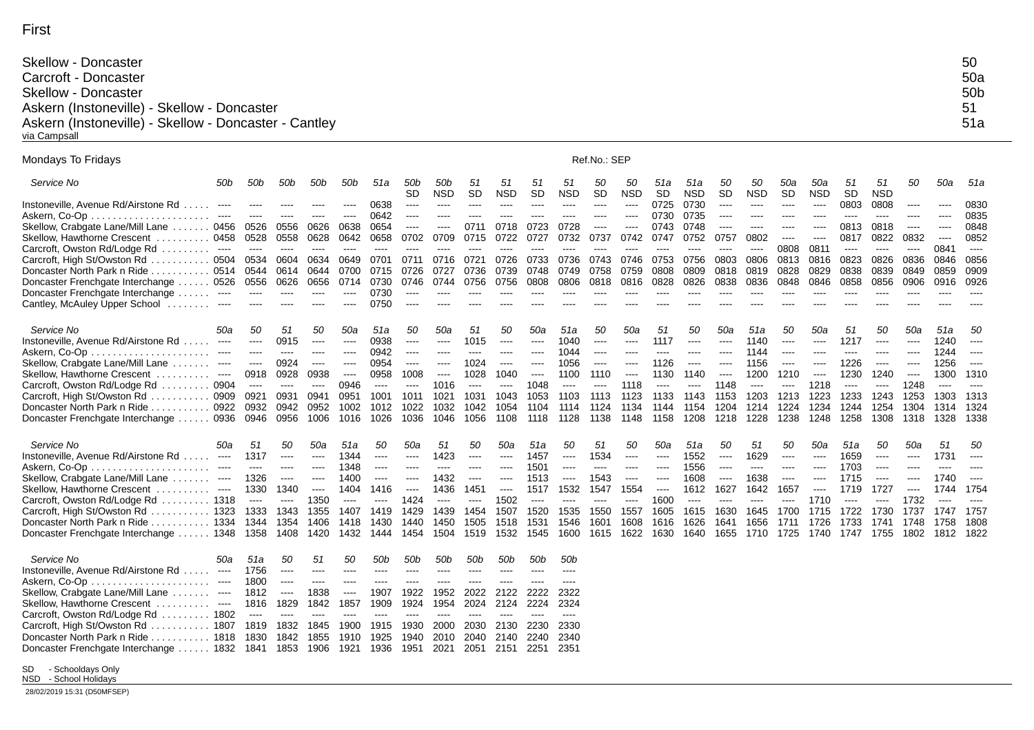| <b>Skellow - Doncaster</b>                            | 50  |
|-------------------------------------------------------|-----|
| Carcroft - Doncaster                                  | 50a |
| <b>Skellow - Doncaster</b>                            | 50b |
| Askern (Instoneville) - Skellow - Doncaster           | 51  |
| Askern (Instoneville) - Skellow - Doncaster - Cantley | 51a |
| via Campsall                                          |     |

| Mondays To Fridays                                                                                                | Ref.No.: SEP |                      |                      |              |                                                                                                                                                                                                                                                                                                                                                                                              |                   |                      |                                                                                                                           |                      |                 |                   |                      |                      |                                                                                                                                                                                                                                                                                                                                                                                                                                                                            |                   |                 |                  |                  |                   |                 |                  |          |          |           |
|-------------------------------------------------------------------------------------------------------------------|--------------|----------------------|----------------------|--------------|----------------------------------------------------------------------------------------------------------------------------------------------------------------------------------------------------------------------------------------------------------------------------------------------------------------------------------------------------------------------------------------------|-------------------|----------------------|---------------------------------------------------------------------------------------------------------------------------|----------------------|-----------------|-------------------|----------------------|----------------------|----------------------------------------------------------------------------------------------------------------------------------------------------------------------------------------------------------------------------------------------------------------------------------------------------------------------------------------------------------------------------------------------------------------------------------------------------------------------------|-------------------|-----------------|------------------|------------------|-------------------|-----------------|------------------|----------|----------|-----------|
| Service No<br>50b                                                                                                 | 50b          | 50b                  | 50b                  | 50b          | 51a                                                                                                                                                                                                                                                                                                                                                                                          | 50b<br><b>SD</b>  | 50b<br><b>NSD</b>    | 51<br><b>SD</b>                                                                                                           | 51<br><b>NSD</b>     | 51<br><b>SD</b> | 51<br><b>NSD</b>  | 50<br><b>SD</b>      | 50<br><b>NSD</b>     | 51a<br><b>SD</b>                                                                                                                                                                                                                                                                                                                                                                                                                                                           | 51a<br><b>NSD</b> | 50<br><b>SD</b> | 50<br><b>NSD</b> | 50a<br><b>SD</b> | 50a<br><b>NSD</b> | 51<br><b>SD</b> | 51<br><b>NSD</b> | 50       | 50a      | 51a       |
| Instoneville, Avenue Rd/Airstone Rd<br>$\cdots$                                                                   |              |                      |                      |              | 0638                                                                                                                                                                                                                                                                                                                                                                                         | ----              | ----                 | ----                                                                                                                      | ----                 | ----            | ----              | ----                 | ----                 | 0725                                                                                                                                                                                                                                                                                                                                                                                                                                                                       | 0730              | $---$           | $\cdots$         | $\cdots$         | $\cdots$          | 0803            | 0808             | $\cdots$ | ----     | 0830      |
| $\sim$ $\sim$ $\sim$                                                                                              | $---$        | ----                 | $- - - -$            | ----         | 0642                                                                                                                                                                                                                                                                                                                                                                                         | ----              | ----                 | $- - - -$                                                                                                                 | $- - - -$            | ----            | $- - - -$         | ----                 | $---$                | 0730                                                                                                                                                                                                                                                                                                                                                                                                                                                                       | 0735              | $-- -$          | $---$            | $---$            | ----              | ----            | ----             | $---$    | ----     | 0835      |
| Skellow, Crabgate Lane/Mill Lane  0456                                                                            | 0526         | 0556                 | 0626                 | 0638         | 0654                                                                                                                                                                                                                                                                                                                                                                                         | ----              | ----                 | 0711                                                                                                                      | 0718                 | 0723            | 0728              | ----                 | ----                 | 0743                                                                                                                                                                                                                                                                                                                                                                                                                                                                       | 0748              | ----            | ----             | ----             |                   | 0813            | 0818             | $---$    | ----     | 0848      |
| Skellow, Hawthorne Crescent 0458                                                                                  | 0528         | 0558                 | 0628                 | 0642         | 0658                                                                                                                                                                                                                                                                                                                                                                                         | 0702              | 0709                 | 0715                                                                                                                      | 0722                 | 0727            | 0732              | 0737                 | 0742                 | 0747                                                                                                                                                                                                                                                                                                                                                                                                                                                                       | 0752              | 0757            | 0802             | $\frac{1}{2}$    | $\cdots$          | 0817            | 0822             | 0832     | $\cdots$ | 0852      |
| Carcroft, Owston Rd/Lodge Rd  ----                                                                                | $\cdots$     | $\cdots$             | $\cdots$             | ----         | $-- -$                                                                                                                                                                                                                                                                                                                                                                                       | $\cdots$          | ----                 | ----                                                                                                                      | ----                 | ----            | ----              | ----                 | ----                 | ----                                                                                                                                                                                                                                                                                                                                                                                                                                                                       | ----              | ----            | $\cdots$         | 0808             | 0811              | $\cdots$        | $\cdots$         | $\cdots$ | 0841     | $\cdots$  |
| Carcroft, High St/Owston Rd  0504                                                                                 | 0534         | 0604                 | 0634                 | 0649         | 0701                                                                                                                                                                                                                                                                                                                                                                                         | 0711              | 0716                 | 0721                                                                                                                      | 0726                 | 0733            | 0736              | 0743                 | 0746                 | 0753                                                                                                                                                                                                                                                                                                                                                                                                                                                                       | 0756              | 0803            | 0806             | 0813             | 0816              | 0823            | 0826             | 0836     | 0846     | 0856      |
| Doncaster North Park n Ride  0514 0544                                                                            |              | 0614                 | 0644                 | 0700         | 0715                                                                                                                                                                                                                                                                                                                                                                                         | 0726              | 0727                 | 0736                                                                                                                      | 0739                 | 0748            | 0749              | 0758                 | 0759                 | 0808                                                                                                                                                                                                                                                                                                                                                                                                                                                                       | 0809              | 0818            | 0819             | 0828             | 0829              | 0838            | 0839             | 0849     | 0859     | 0909      |
| Doncaster Frenchgate Interchange  0526                                                                            | 0556         | 0626                 | 0656<br>----         | 0714<br>---- | 0730<br>0730                                                                                                                                                                                                                                                                                                                                                                                 | 0746<br>$- - - -$ | 0744                 | 0756                                                                                                                      | 0756                 | 0808            | 0806<br>$- - - -$ | 0818                 | 0816                 | 0828                                                                                                                                                                                                                                                                                                                                                                                                                                                                       | 0826              | 0838            | 0836             | 0848             | 0846              | 0858            | 0856             | 0906     | 0916     | 0926      |
| Doncaster Frenchgate Interchange<br>$\sim$ $\sim$ $\sim$<br>Cantley, McAuley Upper School<br>$\sim$ $\sim$ $\sim$ | $\cdots$     | ----                 |                      | ----         | 0750                                                                                                                                                                                                                                                                                                                                                                                         | $---$             |                      |                                                                                                                           |                      |                 |                   |                      |                      |                                                                                                                                                                                                                                                                                                                                                                                                                                                                            |                   |                 |                  |                  |                   |                 |                  |          |          |           |
|                                                                                                                   |              |                      |                      |              |                                                                                                                                                                                                                                                                                                                                                                                              |                   |                      |                                                                                                                           |                      |                 |                   |                      |                      |                                                                                                                                                                                                                                                                                                                                                                                                                                                                            |                   |                 |                  |                  |                   |                 |                  |          |          |           |
| Service No<br>50a                                                                                                 | 50           | 51                   | 50                   | 50a          | 51a                                                                                                                                                                                                                                                                                                                                                                                          | 50                | 50a                  | 51                                                                                                                        | 50                   | 50a             | 51a               | 50                   | 50a                  | 51                                                                                                                                                                                                                                                                                                                                                                                                                                                                         | 50                | 50a             | 51a              | 50               | 50a               | 51              | 50               | 50a      | 51a      | 50        |
| Instoneville, Avenue Rd/Airstone Rd<br>$\sim$ $\sim$ $\sim$                                                       | $\cdots$     | 0915                 | $\cdots$             | $\cdots$     | 0938                                                                                                                                                                                                                                                                                                                                                                                         | $\cdots$          | $\cdots$             | 1015                                                                                                                      | ----                 | $\cdots$        | 1040              | $\sim$ $\sim$ $\sim$ | $\sim$ $\sim$ $\sim$ | 1117                                                                                                                                                                                                                                                                                                                                                                                                                                                                       | $\cdots$          | $---$           | 1140             | $\cdots$         | $\cdots$          | 1217            | $\cdots$         | $\cdots$ | 1240     | $---$     |
| $\cdots$                                                                                                          | $\cdots$     | $\cdots$             | $---$                | $\cdots$     | 0942                                                                                                                                                                                                                                                                                                                                                                                         | $\cdots$          | $---$                | $\cdots$                                                                                                                  | $---$                | $- - - -$       | 1044              | $\cdots$             | $---$                | $\frac{1}{2} \left( \frac{1}{2} \right) \left( \frac{1}{2} \right) \left( \frac{1}{2} \right) \left( \frac{1}{2} \right) \left( \frac{1}{2} \right) \left( \frac{1}{2} \right) \left( \frac{1}{2} \right) \left( \frac{1}{2} \right) \left( \frac{1}{2} \right) \left( \frac{1}{2} \right) \left( \frac{1}{2} \right) \left( \frac{1}{2} \right) \left( \frac{1}{2} \right) \left( \frac{1}{2} \right) \left( \frac{1}{2} \right) \left( \frac{1}{2} \right) \left( \frac$ | ----              | ----            | 1144             | $\cdots$         | $- - - -$         | ----            | ----             | $-- -$   | 1244     | $- - - -$ |
| Skellow, Crabgate Lane/Mill Lane<br>$\sim$ $\sim$ $\sim$ $\sim$                                                   | $\cdots$     | 0924                 | $\cdots$             | $\cdots$     | 0954                                                                                                                                                                                                                                                                                                                                                                                         | $\cdots$          | $\cdots$             | 1024                                                                                                                      | $\sim$ $\sim$ $\sim$ | $\cdots$        | 1056              | $\sim$ $\sim$ $\sim$ | $\cdots$             | 1126                                                                                                                                                                                                                                                                                                                                                                                                                                                                       | $\cdots$          | ----            | 1156             | $\cdots$         | $\cdots$          | 1226            | $\cdots$         | $\cdots$ | 1256     | $\cdots$  |
| Skellow, Hawthorne Crescent<br>.<br>$\sim$ $\sim$                                                                 | 0918         | 0928                 | 0938                 | $\cdots$     | 0958                                                                                                                                                                                                                                                                                                                                                                                         | 1008              | $\sim$ $\sim$ $\sim$ | 1028                                                                                                                      | 1040                 | $\cdots$        | 1100              | 1110                 | $\cdots$             | 1130                                                                                                                                                                                                                                                                                                                                                                                                                                                                       | 1140              | $---$           | 1200             | 1210             | $\cdots$          | 1230            | 1240             | $\cdots$ | 1300     | 1310      |
| Carcroft, Owston Rd/Lodge Rd 0904                                                                                 | $\cdots$     | $\cdots$             | $\cdots$             | 0946         | $\sim$ $\sim$ $\sim$                                                                                                                                                                                                                                                                                                                                                                         | $\cdots$          | 1016                 | $\cdots$                                                                                                                  | $\cdots$             | 1048            | $\cdots$          | $\cdots$             | 1118                 | $---$                                                                                                                                                                                                                                                                                                                                                                                                                                                                      | $\cdots$          | 1148            | $---$            | $\cdots$         | 1218              | $\cdots$        | $\cdots$         | 1248     | $\cdots$ | $\cdots$  |
| Carcroft, High St/Owston Rd  0909                                                                                 | 0921         | 0931                 | 0941                 | 0951         | 1001                                                                                                                                                                                                                                                                                                                                                                                         | 1011              | 1021                 | 1031                                                                                                                      | 1043                 | 1053            | 1103              | 1113                 | 1123                 | 1133                                                                                                                                                                                                                                                                                                                                                                                                                                                                       | 1143              | 1153            | 1203             | 1213             | 1223              | 1233            | 1243             | 1253     | 1303     | 1313      |
| .0922<br>Doncaster North Park n Ride                                                                              | 0932         | 0942                 | 0952                 | 1002         | 1012                                                                                                                                                                                                                                                                                                                                                                                         | 1022              | 1032                 | 1042                                                                                                                      | 1054                 | 1104            | 1114              | 1124                 | 1134                 | 1144                                                                                                                                                                                                                                                                                                                                                                                                                                                                       | 1154              | 1204            | 1214             | 1224             | 1234              | 1244            | 1254             | 1304     | 1314     | 1324      |
| Doncaster Frenchgate Interchange<br>. 0936                                                                        | 0946         | 0956                 | 1006                 | 1016         | 1026                                                                                                                                                                                                                                                                                                                                                                                         | 1036              | 1046                 | 1056                                                                                                                      | 1108                 | 1118            | 1128              | 1138                 | 1148                 | 1158                                                                                                                                                                                                                                                                                                                                                                                                                                                                       | 1208              | 1218            | 1228             | 1238             | 1248              | 1258            | 1308             | 1318     | 1328     | 1338      |
| Service No<br>50a                                                                                                 | 51           | 50                   | 50a                  | 51a          | 50                                                                                                                                                                                                                                                                                                                                                                                           | 50a               | 51                   | 50                                                                                                                        | 50a                  | 51a             | 50                | 51                   | 50                   | 50a                                                                                                                                                                                                                                                                                                                                                                                                                                                                        | 51a               | 50              | 51               | 50               | 50a               | 51a             | 50               | 50a      | 51       | 50        |
| Instoneville, Avenue Rd/Airstone Rd<br>$\cdots$                                                                   | 1317         | $---$                | $\cdots$             | 1344         | $---$                                                                                                                                                                                                                                                                                                                                                                                        | ----              | 1423                 | $---$                                                                                                                     | $---$                | 1457            | $\cdots$          | 1534                 | $\cdots$             | ----                                                                                                                                                                                                                                                                                                                                                                                                                                                                       | 1552              | $---$           | 1629             | $\cdots$         | $---$             | 1659            | $---$            | $\cdots$ | 1731     | $\cdots$  |
| Askern, Co-Op<br>.                                                                                                | $\cdots$     | ----                 | $---$                | 1348         | $---$                                                                                                                                                                                                                                                                                                                                                                                        | ----              | ----                 | ----                                                                                                                      | ----                 | 1501            | ----              | ----                 | ----                 |                                                                                                                                                                                                                                                                                                                                                                                                                                                                            | 1556              | ----            | $\cdots$         |                  |                   | 1703            | ----             |          |          |           |
| Skellow, Crabgate Lane/Mill Lane<br>$\cdots$                                                                      | 1326         | $\sim$ $\sim$ $\sim$ | $\cdots$             | 1400         | $\frac{1}{2} \frac{1}{2} \frac{1}{2} \frac{1}{2} \frac{1}{2} \frac{1}{2} \frac{1}{2} \frac{1}{2} \frac{1}{2} \frac{1}{2} \frac{1}{2} \frac{1}{2} \frac{1}{2} \frac{1}{2} \frac{1}{2} \frac{1}{2} \frac{1}{2} \frac{1}{2} \frac{1}{2} \frac{1}{2} \frac{1}{2} \frac{1}{2} \frac{1}{2} \frac{1}{2} \frac{1}{2} \frac{1}{2} \frac{1}{2} \frac{1}{2} \frac{1}{2} \frac{1}{2} \frac{1}{2} \frac{$ | ----              | 1432                 | $\frac{1}{2} \left( \frac{1}{2} \right) \left( \frac{1}{2} \right) \left( \frac{1}{2} \right) \left( \frac{1}{2} \right)$ | $---$                | 1513            | $\cdots$          | 1543                 | $\sim$ $\sim$ $\sim$ | $\cdots$                                                                                                                                                                                                                                                                                                                                                                                                                                                                   | 1608              | $\cdots$        | 1638             | $\cdots$         | $\frac{1}{2}$     | 1715            | $\cdots$         | $---$    | 1740     | $- - - -$ |
| Skellow, Hawthorne Crescent.<br>$\sim$ $\sim$ $\sim$<br>.                                                         | 1330         | 1340                 | $\sim$ $\sim$ $\sim$ | 1404         | 1416                                                                                                                                                                                                                                                                                                                                                                                         | $\cdots$          | 1436                 | 1451                                                                                                                      | $\sim$ $\sim$ $\sim$ | 1517            | 1532              | 1547                 | 1554                 | $\sim$ $\sim$ $\sim$                                                                                                                                                                                                                                                                                                                                                                                                                                                       | 1612              | 1627            | 1642             | 1657             | $\cdots$          | 1719            | 1727             | $\cdots$ | 1744     | 1754      |
| Carcroft, Owston Rd/Lodge Rd  1318                                                                                | $\cdots$     | $\cdots$             | 1350                 | $\cdots$     | $---$                                                                                                                                                                                                                                                                                                                                                                                        | 1424              | $\cdots$             | $\cdots$                                                                                                                  | 1502                 | $---$           | $---$             | ----                 | $\cdots$             | 1600                                                                                                                                                                                                                                                                                                                                                                                                                                                                       | $\cdots$          | ----            | $---$            | ----             | 1710              | $---$           | $\cdots$         | 1732     | ----     | $- - -$   |
| Carcroft, High St/Owston Rd  1323                                                                                 | 1333         | 1343                 | 1355                 | 1407         | 1419                                                                                                                                                                                                                                                                                                                                                                                         | 1429              | 1439                 | 1454                                                                                                                      | 1507                 | 1520            | 1535              | 1550                 | 1557                 | 1605                                                                                                                                                                                                                                                                                                                                                                                                                                                                       | 1615              | 1630            | 1645             | 1700             | 1715              | 1722            | 1730             | 1737     | 1747     | 1757      |
| Doncaster North Park n Ride  1334 1344                                                                            |              | 1354                 | 1406                 | 1418         | 1430                                                                                                                                                                                                                                                                                                                                                                                         | 1440              | 1450                 | 1505                                                                                                                      | 1518                 | 1531            | 1546              | 1601                 | 1608                 | 1616                                                                                                                                                                                                                                                                                                                                                                                                                                                                       | 1626              | 1641            | 1656             | 1711             | 1726              | 1733            | 1741             | 1748     | 1758     | 1808      |
| Doncaster Frenchgate Interchange  1348 1358                                                                       |              | 1408                 | 1420                 | 1432         | 1444                                                                                                                                                                                                                                                                                                                                                                                         | 1454              | 1504                 | 1519                                                                                                                      | 1532                 | 1545            | 1600              | 1615                 | 1622                 | 1630                                                                                                                                                                                                                                                                                                                                                                                                                                                                       | 1640              | 1655            | 1710             | 1725             | 1740              | 1747            | 1755             | 1802     | 1812     | 1822      |
| Service No<br>50a                                                                                                 | 51a          | 50                   | 51                   | 50           | 50b                                                                                                                                                                                                                                                                                                                                                                                          | 50b               | 50b                  | 50b                                                                                                                       | 50b                  | 50b             | 50b               |                      |                      |                                                                                                                                                                                                                                                                                                                                                                                                                                                                            |                   |                 |                  |                  |                   |                 |                  |          |          |           |
| Instoneville, Avenue Rd/Airstone Rd<br>$\cdots$                                                                   | 1756         | $\cdots$             | $\cdots$             | ----         | $---$                                                                                                                                                                                                                                                                                                                                                                                        | ----              |                      | ----                                                                                                                      | ----                 |                 |                   |                      |                      |                                                                                                                                                                                                                                                                                                                                                                                                                                                                            |                   |                 |                  |                  |                   |                 |                  |          |          |           |
| Askern. Co-Op..<br>$\cdots$                                                                                       | 1800         | $\cdots$             | $---$                | $---$        | $---$                                                                                                                                                                                                                                                                                                                                                                                        | $---$             | ----                 | ----                                                                                                                      | ----                 |                 | $- - - -$         |                      |                      |                                                                                                                                                                                                                                                                                                                                                                                                                                                                            |                   |                 |                  |                  |                   |                 |                  |          |          |           |
| Skellow, Crabgate Lane/Mill Lane<br>$\sim$ $\sim$ $\sim$                                                          | 1812         | $\sim$ $\sim$ $\sim$ | 1838                 | $\cdots$     | 1907                                                                                                                                                                                                                                                                                                                                                                                         | 1922              | 1952                 | 2022                                                                                                                      | 2122                 | 2222            | 2322              |                      |                      |                                                                                                                                                                                                                                                                                                                                                                                                                                                                            |                   |                 |                  |                  |                   |                 |                  |          |          |           |
| Skellow. Hawthorne Crescent<br>$\sim$ $\sim$ $\sim$                                                               | 1816         | 1829                 | 1842                 | 1857         | 1909                                                                                                                                                                                                                                                                                                                                                                                         | 1924              | 1954                 | 2024                                                                                                                      | 2124                 | 2224            | 2324              |                      |                      |                                                                                                                                                                                                                                                                                                                                                                                                                                                                            |                   |                 |                  |                  |                   |                 |                  |          |          |           |
| Carcroft, Owston Rd/Lodge Rd  1802                                                                                | $\cdots$     |                      |                      |              |                                                                                                                                                                                                                                                                                                                                                                                              |                   |                      |                                                                                                                           |                      |                 |                   |                      |                      |                                                                                                                                                                                                                                                                                                                                                                                                                                                                            |                   |                 |                  |                  |                   |                 |                  |          |          |           |
| Carcroft, High St/Owston Rd  1807                                                                                 | 1819         | 1832                 | 1845                 | 1900         | 1915                                                                                                                                                                                                                                                                                                                                                                                         | 1930              | 2000                 | 2030                                                                                                                      | 2130                 | 2230            | 2330              |                      |                      |                                                                                                                                                                                                                                                                                                                                                                                                                                                                            |                   |                 |                  |                  |                   |                 |                  |          |          |           |
| Doncaster North Park n Ride  1818                                                                                 | 1830         | 1842                 | 1855                 | 1910         | 1925                                                                                                                                                                                                                                                                                                                                                                                         | 1940              | 2010                 | 2040                                                                                                                      | 2140                 | 2240            | 2340              |                      |                      |                                                                                                                                                                                                                                                                                                                                                                                                                                                                            |                   |                 |                  |                  |                   |                 |                  |          |          |           |
| Doncaster Frenchgate Interchange  1832 1841                                                                       |              | 1853                 | 1906                 | 1921         | 1936                                                                                                                                                                                                                                                                                                                                                                                         | 1951              | 2021                 | 2051                                                                                                                      | 2151                 | 2251            | 2351              |                      |                      |                                                                                                                                                                                                                                                                                                                                                                                                                                                                            |                   |                 |                  |                  |                   |                 |                  |          |          |           |

SD - Schooldays Only NSD - School Holidays

28/02/2019 15:31 (D50MFSEP)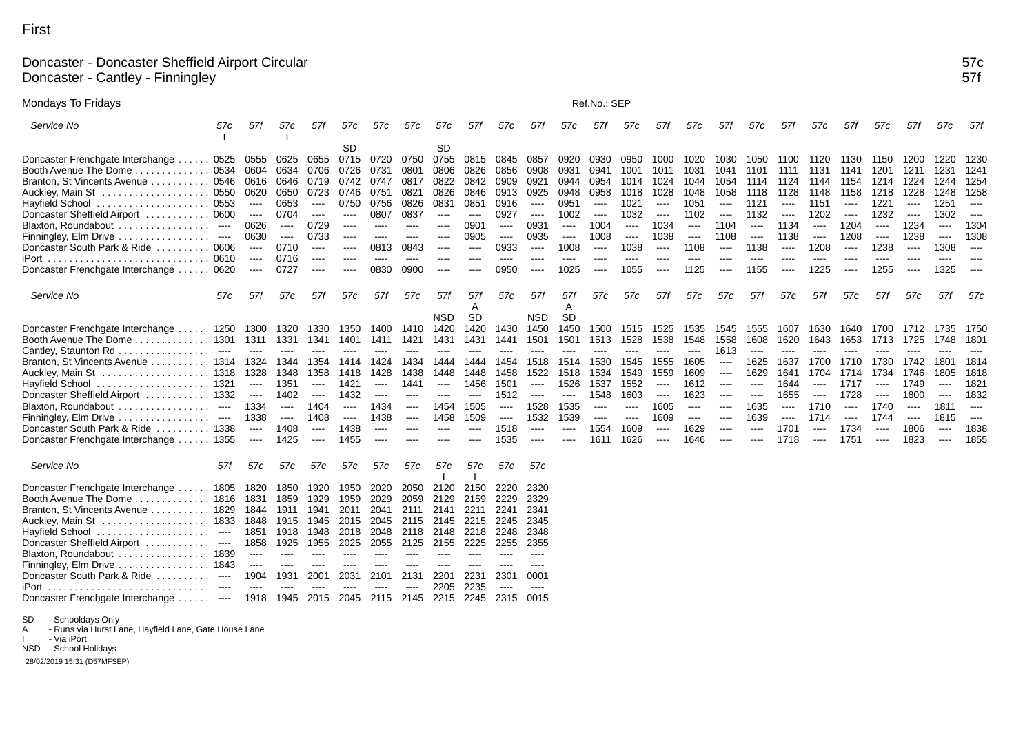## Doncaster - Doncaster Sheffield Airport Circular 57c Doncaster - Cantley - Finningley 57f

| Mondays To Fridays                                         |                                          |                      |                      |               |                                                                                                |                                                                                                                           |               |           |                      |                                                                                                                                                                                                                                                                                                                                                                                                                                                                                        |                      | Ref.No.: SEP         |                                                                       |                      |                      |                      |                      |                      |                      |                      |                      |                      |                      |                      |
|------------------------------------------------------------|------------------------------------------|----------------------|----------------------|---------------|------------------------------------------------------------------------------------------------|---------------------------------------------------------------------------------------------------------------------------|---------------|-----------|----------------------|----------------------------------------------------------------------------------------------------------------------------------------------------------------------------------------------------------------------------------------------------------------------------------------------------------------------------------------------------------------------------------------------------------------------------------------------------------------------------------------|----------------------|----------------------|-----------------------------------------------------------------------|----------------------|----------------------|----------------------|----------------------|----------------------|----------------------|----------------------|----------------------|----------------------|----------------------|----------------------|
| Service No<br>57c                                          | 57f                                      | 57c                  | 57f                  | 57c           | 57c                                                                                            | 57c                                                                                                                       | 57c           | 57f       | 57c                  | 57f                                                                                                                                                                                                                                                                                                                                                                                                                                                                                    | 57c                  | 57f                  | 57c                                                                   | 57f                  | 57c                  | 57f                  | 57c                  | 57f                  | 57c                  | 57f                  | 57c                  | 57f                  | 57c                  | 57f                  |
|                                                            |                                          |                      |                      | <b>SD</b>     |                                                                                                |                                                                                                                           | <b>SD</b>     |           |                      |                                                                                                                                                                                                                                                                                                                                                                                                                                                                                        |                      |                      |                                                                       |                      |                      |                      |                      |                      |                      |                      |                      |                      |                      |                      |
| Doncaster Frenchgate Interchange                           | 0525 0555                                | 0625                 | 0655                 | 0715          | 0720                                                                                           | 0750                                                                                                                      | 0755          | 0815      | 0845                 | 0857                                                                                                                                                                                                                                                                                                                                                                                                                                                                                   | 0920                 | 0930                 | 0950                                                                  | 1000                 | 1020                 | 1030                 | 1050                 | -1100                | 1120                 | 1130                 | 1150                 | 1200                 | 1220                 | 1230                 |
| $\ldots \ldots \ldots 0534 0604$<br>Booth Avenue The Dome. |                                          | 0634                 | 0706                 | 0726          | 0731                                                                                           | 0801                                                                                                                      | 0806          | 0826      | 0856                 | 0908                                                                                                                                                                                                                                                                                                                                                                                                                                                                                   | 0931                 | 0941                 | 1001                                                                  | 1011                 | 1031                 | 1041                 | 1101                 | 1111                 | 1131                 | 1141                 | 1201                 | 1211                 | 1231                 | 1241                 |
| Branton, St Vincents Avenue  0546 0616                     |                                          | 0646                 | 0719                 | 0742          | 0747                                                                                           | 0817                                                                                                                      | 0822          | 0842      | 0909                 | 0921                                                                                                                                                                                                                                                                                                                                                                                                                                                                                   | 0944                 | 0954                 | 1014                                                                  | 1024                 | 1044                 | 1054                 | 1114                 | 1124                 | 1144                 | 1154                 |                      | 1214 1224            | 1244                 | 1254                 |
| Auckley, Main St                                           | 0550 0620                                | 0650                 | 0723                 | 0746          | 0751                                                                                           | 0821                                                                                                                      | 0826          | 0846      | 0913                 | 0925                                                                                                                                                                                                                                                                                                                                                                                                                                                                                   | 0948                 | 0958                 | 1018                                                                  | 1028                 | 1048                 | 1058                 | 1118                 | 1128                 | 1148                 | 1158                 | 1218                 | 1228                 | 1248                 | 1258                 |
| . 0553<br>Hayfield School                                  | $\sim$ $\sim$ $\sim$                     | 0653                 | $\sim$ $\sim$ $\sim$ | 0750          | 0756                                                                                           | 0826                                                                                                                      | 0831          | 0851      | 0916                 | $\sim$ $\sim$ $\sim$                                                                                                                                                                                                                                                                                                                                                                                                                                                                   | 0951                 | $\sim$ $\sim$ $\sim$ | 1021                                                                  | $\cdots$             | 1051                 | $\cdots$             | 1121                 | $\cdots$             | 1151                 | $\cdots$             | 1221                 | $\cdots$             | 1251                 | $\cdots$             |
| Doncaster Sheffield Airport  0600                          | $\cdots$                                 | 0704                 | $\cdots$             | $\cdots$      | 0807                                                                                           | 0837                                                                                                                      | $\cdots$      | $\cdots$  | 0927                 | $\sim$ $\sim$ $\sim$                                                                                                                                                                                                                                                                                                                                                                                                                                                                   | 1002                 | $\sim$ $\sim$ $\sim$ | 1032                                                                  | $\sim$ $\sim$ $\sim$ | 1102                 | $\cdots$             | 1132                 | $---$                | 1202                 | $\cdots$             | 1232                 | $\cdots$             | 1302                 | $\cdots$             |
| Blaxton, Roundabout<br>$\sim$ $\sim$ $\sim$                | 0626                                     | $\sim$ $\sim$ $\sim$ | 0729                 | $\cdots$      | $\cdots$                                                                                       | $\cdots$                                                                                                                  | $---$         | 0901      | $\sim$ $\sim$ $\sim$ | 0931                                                                                                                                                                                                                                                                                                                                                                                                                                                                                   | $\sim$ $\sim$ $\sim$ | 1004                 | $\sim$ $\sim$ $\sim$                                                  | 1034                 | $\sim$ $\sim$ $\sim$ | 1104                 | $\sim$ $\sim$ $\sim$ | 1134                 | $\cdots$             | 1204                 | $\cdots$             | 1234                 | $\sim$ $\sim$ $\sim$ | 1304                 |
| Finningley, Elm Drive<br>$\sim$ $\sim$ $\sim$              | 0630                                     | $\cdots$             | 0733                 | $\frac{1}{2}$ | $- - - -$                                                                                      | $- - - -$                                                                                                                 | $---$         | 0905      | $\cdots$             | 0935                                                                                                                                                                                                                                                                                                                                                                                                                                                                                   | $\sim$               | 1008                 | $\begin{array}{ccc} \text{---} & \text{---} & \text{---} \end{array}$ | 1038                 | $\cdots$             | 1108                 | $\cdots$             | 1138                 | $\sim$ $\sim$ $\sim$ | 1208                 | $\sim$ $\sim$ $\sim$ | 1238                 | $\sim$ $\sim$ $\sim$ | 1308                 |
| Doncaster South Park & Ride  0606                          | $\cdots$                                 | 0710                 | $-$ - $-$ - $\,$     | $\cdots$      | 0813                                                                                           | 0843                                                                                                                      | $\cdots$      | ----      | 0933                 | $\cdots$                                                                                                                                                                                                                                                                                                                                                                                                                                                                               | 1008                 | $\cdots$             | 1038                                                                  | $\sim$ $\sim$ $\sim$ | 1108                 | $\cdots$             | 1138                 | $\sim$ $\sim$ $\sim$ | 1208                 | $\cdots$             | 1238                 | $\cdots$             | 1308                 | $\sim$ $\sim$ $\sim$ |
| 0610<br>Port                                               | $\sim$ $\sim$ $\sim$                     | 0716                 | $\cdots$             | $\cdots$      | $\frac{1}{2}$                                                                                  | $\cdots$                                                                                                                  | $---$         | ----      | $---$                | $---$                                                                                                                                                                                                                                                                                                                                                                                                                                                                                  | $---$                | ----                 | $---$                                                                 | ----                 | ----                 | ----                 | ----                 |                      | ----                 | ----                 | ----                 | ----                 | ----                 |                      |
| Doncaster Frenchgate Interchange<br>0620                   | $\cdots$                                 | 0727                 | $\cdots$             | $\cdots$      | 0830                                                                                           | 0900                                                                                                                      | $\cdots$      | ----      | 0950                 | $\cdots$                                                                                                                                                                                                                                                                                                                                                                                                                                                                               | 1025                 | $\cdots$             | 1055                                                                  | $\cdots$             | 1125                 | ----                 | 1155                 | $\cdots$             | 1225                 | ----                 | 1255                 | $\cdots$             | 1325                 | $---$                |
| Service No<br>57c                                          | 57f                                      | 57c                  | 57f                  | 57c           | 57f                                                                                            | 57c                                                                                                                       | 57f           | 57f       | 57c                  | 57f                                                                                                                                                                                                                                                                                                                                                                                                                                                                                    | 57f                  | 57c                  | 57c                                                                   | 57f                  | 57c                  | 57c                  | 57f                  | 57c                  | 57f                  | 57c                  | 57f                  | 57c                  | 57f                  | 57c                  |
|                                                            |                                          |                      |                      |               |                                                                                                |                                                                                                                           |               | A         |                      |                                                                                                                                                                                                                                                                                                                                                                                                                                                                                        | A                    |                      |                                                                       |                      |                      |                      |                      |                      |                      |                      |                      |                      |                      |                      |
|                                                            |                                          |                      |                      |               |                                                                                                |                                                                                                                           | NSD           | <b>SD</b> |                      | <b>NSD</b>                                                                                                                                                                                                                                                                                                                                                                                                                                                                             | <b>SD</b>            |                      |                                                                       |                      |                      |                      |                      |                      |                      |                      |                      |                      |                      |                      |
| Doncaster Frenchgate Interchange  1250 1300                |                                          |                      | 1320 1330            | 1350          | 1400                                                                                           | 1410                                                                                                                      | 1420          | 1420      | 1430                 | 1450                                                                                                                                                                                                                                                                                                                                                                                                                                                                                   | 1450                 | 1500                 | 1515                                                                  | 1525                 | 1535                 | 1545                 | 1555                 | 1607                 | 1630                 | 1640                 | 1700                 | 1712                 | 1735 1750            |                      |
|                                                            |                                          | 1331                 | 1341                 | 1401          | 1411                                                                                           | 1421                                                                                                                      | 1431          | 1431      | 1441                 | 1501                                                                                                                                                                                                                                                                                                                                                                                                                                                                                   | 1501                 | 1513                 | 1528                                                                  | 1538                 | 1548                 | 1558                 | 1608                 | 1620                 | 1643                 | 1653                 | 1713                 | 1725                 | 1748                 | 1801                 |
| Cantley, Staunton Rd<br>----                               | $\cdots$                                 | $---$                |                      | ----          |                                                                                                |                                                                                                                           |               |           |                      |                                                                                                                                                                                                                                                                                                                                                                                                                                                                                        |                      |                      |                                                                       | ----                 | ----                 | 1613                 | $---$                | $---$                |                      |                      |                      |                      |                      |                      |
| Branton, St Vincents Avenue 1314 1324                      |                                          | 1344                 | 1354                 | 1414          | 1424                                                                                           | 1434                                                                                                                      | 1444          | 1444      | 1454                 | 1518                                                                                                                                                                                                                                                                                                                                                                                                                                                                                   | 1514                 | 1530                 | 1545                                                                  | 1555                 | 1605                 | ----                 | 1625                 | 1637                 | 1700                 | 1710                 | 1730                 | 1742                 | 1801                 | 1814                 |
| Auckley, Main St  1318 1328                                |                                          | 1348                 | 1358                 | 1418          | 1428                                                                                           | 1438                                                                                                                      | 1448          | 1448      | 1458                 | 1522                                                                                                                                                                                                                                                                                                                                                                                                                                                                                   | 1518                 | 1534                 | 1549                                                                  | 1559                 | 1609                 | $\cdots$             | 1629                 | 1641                 | 1704                 | 1714                 | 1734                 | 1746                 | 1805                 | 1818                 |
| . 1321<br>Havfield School                                  | $\hspace{0.05cm} \ldots \hspace{0.05cm}$ | 1351                 | $\sim$ $\sim$ $\sim$ | 1421          | $\cdots$                                                                                       | 1441                                                                                                                      | $\cdots$      | 1456      | 1501                 | $\cdots$                                                                                                                                                                                                                                                                                                                                                                                                                                                                               | 1526                 | 1537                 | 1552                                                                  | $\frac{1}{2}$        | 1612                 | $\cdots$             | $\sim$ $\sim$ $\sim$ | 1644                 | $\cdots$             | 1717                 | $\cdots$             | 1749                 | $\cdots$             | 1821                 |
| Doncaster Sheffield Airport  1332                          | $\sim$ $\sim$ $\sim$                     | 1402                 | $\sim$ $\sim$ $\sim$ | 1432          | $\sim$ $\sim$ $\sim$                                                                           | $\cdots$                                                                                                                  | $---$         | $\cdots$  | 1512                 | $\cdots$                                                                                                                                                                                                                                                                                                                                                                                                                                                                               | $\sim$ $\sim$ $\sim$ | 1548                 | 1603                                                                  | $\sim$ $\sim$ $\sim$ | 1623                 | ----                 | $\cdots$             | 1655                 | $\cdots$             | 1728                 | $\cdots$             | 1800                 | $\cdots$             | 1832                 |
| Blaxton, Roundabout<br>$\sim$ $\sim$ $\sim$                | 1334                                     | $\cdots$             | 1404                 | $\cdots$      | 1434                                                                                           | $\sim$ $\sim$ $\sim$                                                                                                      | 1454          | 1505      | $\sim$ $\sim$ $\sim$ | 1528                                                                                                                                                                                                                                                                                                                                                                                                                                                                                   | 1535                 | $\sim$ $\sim$ $\sim$ | $\cdots$                                                              | 1605                 | $\sim$ $\sim$ $\sim$ | $\cdots$             | 1635                 | $\sim$ $\sim$ $\sim$ | 1710                 | $\sim$ $\sim$ $\sim$ | 1740                 | $\sim$ $\sim$ $\sim$ | 1811                 | $\sim$ $\sim$ $\sim$ |
| Finningley, Elm Drive<br>$\cdots$                          | 1338                                     | $\cdots$             | 1408                 | $\cdots$      | 1438                                                                                           | $\cdots$                                                                                                                  | 1458          | 1509      | $\sim$ $\sim$ $\sim$ | 1532                                                                                                                                                                                                                                                                                                                                                                                                                                                                                   | 1539                 | $\cdots$             | $\cdots$                                                              | 1609                 | $\sim$ $\sim$ $\sim$ | $\cdots$             | 1639                 | $\sim$ $\sim$ $\sim$ | 1714                 | $\cdots$             | 1744                 | $\cdots$             | 1815                 | $\sim$ $\sim$ $\sim$ |
| $\ldots \ldots 1338$<br>Doncaster South Park & Ride        | $\cdots$                                 | 1408                 | $\cdots$             | 1438          | $\frac{1}{2} \left( \frac{1}{2} \right) \left( \frac{1}{2} \right) \left( \frac{1}{2} \right)$ |                                                                                                                           |               | ----      | 1518                 | $\cdots$                                                                                                                                                                                                                                                                                                                                                                                                                                                                               | $\cdots$             | 1554                 | 1609                                                                  | $\sim$ $\sim$ $\sim$ | 1629                 | $\cdots$             | $\cdots$             | 1701                 | ----                 | 1734                 | $\cdots$             | 1806                 | $\cdots$             | 1838                 |
| Doncaster Frenchgate Interchange  1355                     | $\sim$ $\sim$ $\sim$                     | 1425                 | $\sim$ $\sim$ $\sim$ | 1455          | $\cdots$                                                                                       | $\frac{1}{2} \left( \frac{1}{2} \right) \left( \frac{1}{2} \right) \left( \frac{1}{2} \right) \left( \frac{1}{2} \right)$ | $\frac{1}{2}$ | $\cdots$  | 1535                 | $\sim$ $\sim$ $\sim$                                                                                                                                                                                                                                                                                                                                                                                                                                                                   | $\sim$ $\sim$ $\sim$ | 1611                 | 1626                                                                  | $\sim$ $\sim$ $\sim$ | 1646                 | $\sim$ $\sim$ $\sim$ | $\sim$ $\sim$ $\sim$ | 1718                 | $\cdots$             | 1751                 | $\sim$ $\sim$ $\sim$ | 1823                 | $\cdots$             | 1855                 |
|                                                            |                                          |                      |                      |               |                                                                                                |                                                                                                                           |               |           |                      |                                                                                                                                                                                                                                                                                                                                                                                                                                                                                        |                      |                      |                                                                       |                      |                      |                      |                      |                      |                      |                      |                      |                      |                      |                      |
| Service No<br>57f                                          | 57c                                      | 57c                  | 57c                  | 57c           | 57c                                                                                            | 57c                                                                                                                       | 57c           | 57c       | 57c                  | 57c                                                                                                                                                                                                                                                                                                                                                                                                                                                                                    |                      |                      |                                                                       |                      |                      |                      |                      |                      |                      |                      |                      |                      |                      |                      |
| Doncaster Frenchgate Interchange  1805                     | 1820                                     | 1850                 | 1920                 | 1950          | 2020                                                                                           | 2050                                                                                                                      | 2120          | 2150      | 2220                 | 2320                                                                                                                                                                                                                                                                                                                                                                                                                                                                                   |                      |                      |                                                                       |                      |                      |                      |                      |                      |                      |                      |                      |                      |                      |                      |
| Booth Avenue The Dome<br>1816                              | 1831                                     | 1859                 | 1929                 | 1959          | 2029                                                                                           | 2059                                                                                                                      | 2129          | 2159      | 2229                 | 2329                                                                                                                                                                                                                                                                                                                                                                                                                                                                                   |                      |                      |                                                                       |                      |                      |                      |                      |                      |                      |                      |                      |                      |                      |                      |
| 1829<br>Branton, St Vincents Avenue                        | 1844                                     | 1911                 | 1941                 | 2011          | 2041                                                                                           | 2111                                                                                                                      | 2141          | 2211      | 2241                 | 2341                                                                                                                                                                                                                                                                                                                                                                                                                                                                                   |                      |                      |                                                                       |                      |                      |                      |                      |                      |                      |                      |                      |                      |                      |                      |
|                                                            | 1848                                     | 1915                 | 1945                 | 2015          | 2045                                                                                           | 2115                                                                                                                      | 2145          | 2215      | 2245                 | 2345                                                                                                                                                                                                                                                                                                                                                                                                                                                                                   |                      |                      |                                                                       |                      |                      |                      |                      |                      |                      |                      |                      |                      |                      |                      |
| Havfield School<br>$\sim$ $\sim$ $\sim$                    | 1851                                     | 1918                 | 1948                 | 2018          | 2048                                                                                           | 2118                                                                                                                      | 2148          | 2218      | 2248                 | 2348                                                                                                                                                                                                                                                                                                                                                                                                                                                                                   |                      |                      |                                                                       |                      |                      |                      |                      |                      |                      |                      |                      |                      |                      |                      |
| Doncaster Sheffield Airport  ----                          | 1858                                     | 1925                 | 1955                 | 2025          | 2055                                                                                           | 2125                                                                                                                      | 2155          | 2225      | 2255                 | 2355                                                                                                                                                                                                                                                                                                                                                                                                                                                                                   |                      |                      |                                                                       |                      |                      |                      |                      |                      |                      |                      |                      |                      |                      |                      |
| Blaxton, Roundabout 1839                                   | ----                                     | $-- -$               |                      |               |                                                                                                |                                                                                                                           |               |           |                      | ----                                                                                                                                                                                                                                                                                                                                                                                                                                                                                   |                      |                      |                                                                       |                      |                      |                      |                      |                      |                      |                      |                      |                      |                      |                      |
| . 1843<br>Finningley, Elm Drive                            | $\cdots$                                 | $- - - -$            | $---$                | ----          |                                                                                                |                                                                                                                           |               | ----      |                      | $\begin{array}{ccc} \multicolumn{3}{c}{} & \multicolumn{3}{c}{} & \multicolumn{3}{c}{} & \multicolumn{3}{c}{} & \multicolumn{3}{c}{} & \multicolumn{3}{c}{} & \multicolumn{3}{c}{} & \multicolumn{3}{c}{} & \multicolumn{3}{c}{} & \multicolumn{3}{c}{} & \multicolumn{3}{c}{} & \multicolumn{3}{c}{} & \multicolumn{3}{c}{} & \multicolumn{3}{c}{} & \multicolumn{3}{c}{} & \multicolumn{3}{c}{} & \multicolumn{3}{c}{} & \multicolumn{3}{c}{} & \multicolumn{3}{c}{} & \multicolumn$ |                      |                      |                                                                       |                      |                      |                      |                      |                      |                      |                      |                      |                      |                      |                      |
| Doncaster South Park & Ride<br>$\sim$ $\sim$               | 1904                                     | 1931                 | 2001                 | 2031          | 2101                                                                                           | 2131                                                                                                                      | 2201          | 2231      | 2301                 | 0001                                                                                                                                                                                                                                                                                                                                                                                                                                                                                   |                      |                      |                                                                       |                      |                      |                      |                      |                      |                      |                      |                      |                      |                      |                      |
|                                                            | $\cdots$                                 | $\frac{1}{2}$        | $---$                |               |                                                                                                |                                                                                                                           | 2205          | 2235      | $- - - -$            |                                                                                                                                                                                                                                                                                                                                                                                                                                                                                        |                      |                      |                                                                       |                      |                      |                      |                      |                      |                      |                      |                      |                      |                      |                      |
|                                                            |                                          |                      |                      |               |                                                                                                |                                                                                                                           |               |           |                      |                                                                                                                                                                                                                                                                                                                                                                                                                                                                                        |                      |                      |                                                                       |                      |                      |                      |                      |                      |                      |                      |                      |                      |                      |                      |

SD - Schooldays Only<br>A - Runs via Hurst La

A - Runs via Hurst Lane, Hayfield Lane, Gate House Lane

Doncaster Frenchgate Interchange . . . . . . ---- 1918 1945 2015 2045 2115 2145 2215 2245 2315 0015

I - Via iPort

NSD - School Holidays

28/02/2019 15:31 (D57MFSEP)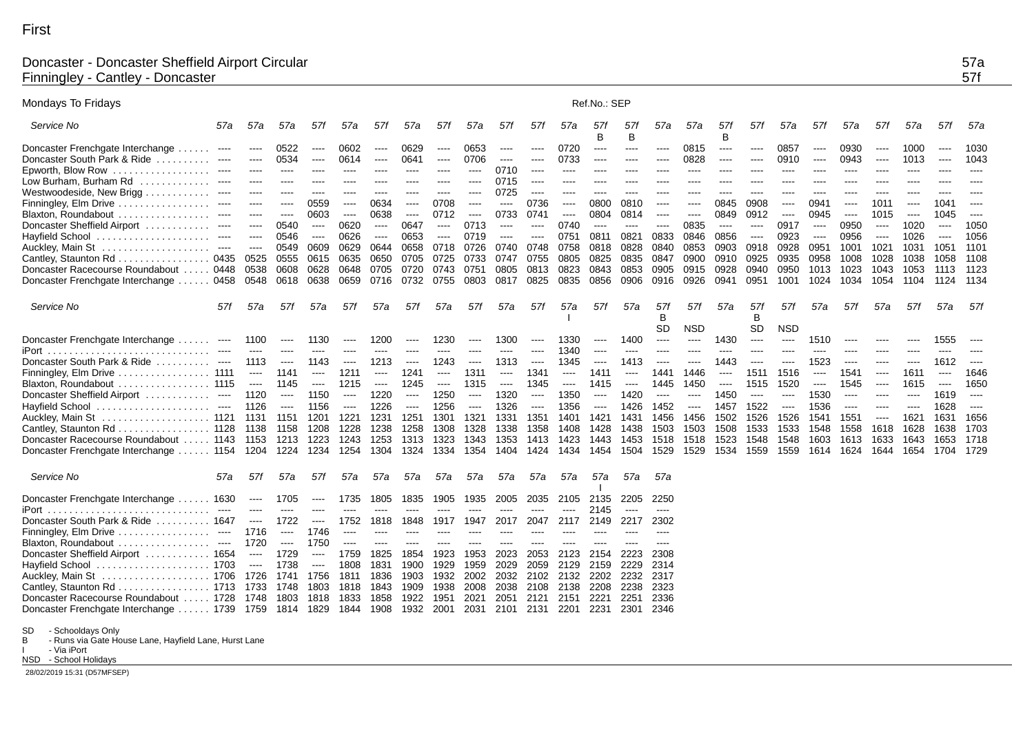## Doncaster - Doncaster Sheffield Airport Circular 57a Finningley - Cantley - Doncaster 57f

| Mondays To Fridays                                               |                        |                                                              |           |                      |                      |                      |                      |           |                      |                      |                                                                                                                           |                          | Ref.No.: SEP                                                                                                                                                                                                                                                                                                                                                                                                                                                                           |                      |                                                                                                                                                                                                                                                                                                                                                                                                                                                                                        |                      |                                                                                                |                      |            |                      |          |                      |          |                      |                      |
|------------------------------------------------------------------|------------------------|--------------------------------------------------------------|-----------|----------------------|----------------------|----------------------|----------------------|-----------|----------------------|----------------------|---------------------------------------------------------------------------------------------------------------------------|--------------------------|----------------------------------------------------------------------------------------------------------------------------------------------------------------------------------------------------------------------------------------------------------------------------------------------------------------------------------------------------------------------------------------------------------------------------------------------------------------------------------------|----------------------|----------------------------------------------------------------------------------------------------------------------------------------------------------------------------------------------------------------------------------------------------------------------------------------------------------------------------------------------------------------------------------------------------------------------------------------------------------------------------------------|----------------------|------------------------------------------------------------------------------------------------|----------------------|------------|----------------------|----------|----------------------|----------|----------------------|----------------------|
| Service No                                                       | 57a                    | 57a                                                          | 57a       | 57f                  | 57a                  | 57f                  | 57a                  | 57f       | 57a                  | 57f                  | 57f                                                                                                                       | 57a                      | 57f<br>B                                                                                                                                                                                                                                                                                                                                                                                                                                                                               | 571<br>B             | 57a                                                                                                                                                                                                                                                                                                                                                                                                                                                                                    | 57a                  | 57f<br>в                                                                                       | 57f                  | 57a        | 57f                  | 57a      | 57f                  | 57a      | 57f                  | 57a                  |
| Doncaster Frenchgate Interchange                                 | $\cdots$               | ----                                                         | 0522      | $\cdots$             | 0602                 | $---$                | 0629                 | $\cdots$  | 0653                 | ----                 | $-- -$                                                                                                                    | 0720                     | $---$                                                                                                                                                                                                                                                                                                                                                                                                                                                                                  | $---$                | $\cdots$                                                                                                                                                                                                                                                                                                                                                                                                                                                                               | 0815                 | $\cdots$                                                                                       | $\sim$ $\sim$ $\sim$ | 0857       | $---$                | 0930     | $\cdots$             | 1000     | $\cdots$             | 1030                 |
| Doncaster South Park & Ride                                      |                        | ----                                                         | 0534      | $\cdots$             | 0614                 | $\cdots$             | 0641                 | $- - - -$ | 0706                 | $\cdots$             | $\frac{1}{2} \left( \frac{1}{2} \right) \left( \frac{1}{2} \right) \left( \frac{1}{2} \right) \left( \frac{1}{2} \right)$ | 0733                     | $\begin{array}{ccc} \multicolumn{3}{c}{} & \multicolumn{3}{c}{} & \multicolumn{3}{c}{} & \multicolumn{3}{c}{} & \multicolumn{3}{c}{} & \multicolumn{3}{c}{} & \multicolumn{3}{c}{} & \multicolumn{3}{c}{} & \multicolumn{3}{c}{} & \multicolumn{3}{c}{} & \multicolumn{3}{c}{} & \multicolumn{3}{c}{} & \multicolumn{3}{c}{} & \multicolumn{3}{c}{} & \multicolumn{3}{c}{} & \multicolumn{3}{c}{} & \multicolumn{3}{c}{} & \multicolumn{3}{c}{} & \multicolumn{3}{c}{} & \multicolumn$ | $- - - -$            | ----                                                                                                                                                                                                                                                                                                                                                                                                                                                                                   | 0828                 | $\cdots$                                                                                       | $\cdots$             | 0910       | $\cdots$             | 0943     | $\cdots$             | 1013     | $\cdots$             | 1043                 |
| Epworth, Blow Row $\ldots \ldots \ldots \ldots \ldots$           | $- - - -$              | ----                                                         | ----      | $-- -$               | $-- -$               | $---$                | ----                 | $---$     | $\cdots$             | 0710                 | $- - - -$                                                                                                                 | $---$                    | ----                                                                                                                                                                                                                                                                                                                                                                                                                                                                                   | ----                 | ----                                                                                                                                                                                                                                                                                                                                                                                                                                                                                   | ----                 | ----                                                                                           | $---$                | $---$      | $---$                | ----     | ----                 | ----     | ----                 |                      |
| Low Burham, Burham Rd                                            |                        | ----                                                         | $---$     | $---$                | $\cdots$             | $---$                | $---$                | ----      | $-- -$               | 0715                 | $- - - -$                                                                                                                 | $- - - -$                | ----                                                                                                                                                                                                                                                                                                                                                                                                                                                                                   | ----                 | ----                                                                                                                                                                                                                                                                                                                                                                                                                                                                                   | ----                 | ----                                                                                           | $---$                | $\cdots$   | $---$                | ----     | ----                 | $---$    | ----                 | ----                 |
| Westwoodeside, New Brigg                                         |                        |                                                              |           | ----                 |                      |                      |                      |           | ----                 | 0725                 | $-- -$                                                                                                                    |                          |                                                                                                                                                                                                                                                                                                                                                                                                                                                                                        | ----                 |                                                                                                                                                                                                                                                                                                                                                                                                                                                                                        |                      |                                                                                                |                      |            |                      |          |                      |          |                      |                      |
| Finningley, Elm Drive                                            |                        | ----                                                         | ----      | 0559                 | $-- -$               | 0634                 | ----                 | 0708      | $\cdots$             | $\cdots$             | 0736                                                                                                                      | ----                     | 0800                                                                                                                                                                                                                                                                                                                                                                                                                                                                                   | 0810                 | $\cdots$                                                                                                                                                                                                                                                                                                                                                                                                                                                                               | $---$                | 0845                                                                                           | 0908                 | $---$      | 0941                 | ----     | 1011                 | $---$    | 1041                 | $-- -$               |
| Blaxton, Roundabout                                              |                        | ----                                                         | $\cdots$  | 0603                 | $\cdots$             | 0638                 | $\cdots$             | 0712      | $\cdots$             | 0733                 | 0741                                                                                                                      | $\cdots$                 | 0804                                                                                                                                                                                                                                                                                                                                                                                                                                                                                   | 0814                 | $\cdots$                                                                                                                                                                                                                                                                                                                                                                                                                                                                               | $\cdots$             | 0849                                                                                           | 0912                 | $\cdots$   | 0945                 | $\cdots$ | 1015                 | $\cdots$ | 1045                 | $\sim$ $\sim$ $\sim$ |
| Doncaster Sheffield Airport                                      | $\cdots$               | $\cdots$                                                     | 0540      | $\cdots$             | 0620                 | $\cdots$             | 0647                 | $\cdots$  | 0713                 | $\sim$ $\sim$ $\sim$ | $\cdots$                                                                                                                  | 0740                     | $\sim$ $\sim$ $\sim$                                                                                                                                                                                                                                                                                                                                                                                                                                                                   | $\cdots$             | $\sim$ $\sim$ $\sim$                                                                                                                                                                                                                                                                                                                                                                                                                                                                   | 0835                 | $\cdots$                                                                                       | $\cdots$             | 0917       | $\sim$ $\sim$ $\sim$ | 0950     | $\sim$ $\sim$ $\sim$ | 1020     | $\cdots$             | 1050                 |
| Hayfield School                                                  |                        | $---$                                                        | 0546      | $\sim$ $\sim$ $\sim$ | 0626                 | $\sim$ $\sim$ $\sim$ | 0653                 | $\cdots$  | 0719                 | $\sim$ $\sim$ $\sim$ | $\sim$ $\sim$ $\sim$                                                                                                      | 0751                     | 0811                                                                                                                                                                                                                                                                                                                                                                                                                                                                                   | 0821                 | 0833                                                                                                                                                                                                                                                                                                                                                                                                                                                                                   | 0846                 | 0856                                                                                           | $\sim$ $\sim$ $\sim$ | 0923       | $\sim$ $\sim$ $\sim$ | 0956     | $\cdots$             | 1026     | $\sim$ $\sim$ $\sim$ | 1056                 |
|                                                                  | $\sim$ $\sim$ $\sim$   | $\cdots$                                                     | 0549      | 0609                 | 0629                 | 0644                 | 0658                 | 0718      | 0726                 | 0740                 | 0748                                                                                                                      | 0758                     | 0818                                                                                                                                                                                                                                                                                                                                                                                                                                                                                   | 0828                 | 0840                                                                                                                                                                                                                                                                                                                                                                                                                                                                                   | 0853                 | 0903                                                                                           | 0918                 | 0928       | 0951                 | 1001     | 1021                 | 1031     | 1051                 | 1101                 |
| Cantley, Staunton Rd 0435                                        |                        | 0525                                                         | 0555      | 0615                 | 0635                 | 0650                 | 0705                 | 0725      | 0733                 | 0747                 | 0755                                                                                                                      | 0805                     | 0825                                                                                                                                                                                                                                                                                                                                                                                                                                                                                   | 0835                 | 0847                                                                                                                                                                                                                                                                                                                                                                                                                                                                                   | 0900                 | 0910                                                                                           | 0925                 | 0935       | 0958                 | 1008     | 1028                 | 1038     | 1058                 | 1108                 |
| Doncaster Racecourse Roundabout                                  | . 0448                 | 0538                                                         | 0608      | 0628                 | 0648                 | 0705                 | 0720                 | 0743      | 0751                 | 0805                 | 0813                                                                                                                      | 0823                     | 0843                                                                                                                                                                                                                                                                                                                                                                                                                                                                                   | 0853                 | 0905                                                                                                                                                                                                                                                                                                                                                                                                                                                                                   | 0915                 | 0928                                                                                           | 0940                 | 0950       | 1013                 | 1023     | 1043                 | 1053     | 1113                 | 1123                 |
| Doncaster Frenchgate Interchange  0458                           |                        | 0548                                                         | 0618 0638 |                      | 0659                 | 0716                 | 0732                 | 0755      | 0803                 | 0817 0825            |                                                                                                                           | 0835                     | 0856                                                                                                                                                                                                                                                                                                                                                                                                                                                                                   | 0906                 | 0916                                                                                                                                                                                                                                                                                                                                                                                                                                                                                   | 0926                 | 0941                                                                                           | 0951                 | 1001       | 1024                 | 1034     | 1054                 | 1104     | 1124                 | 1134                 |
| Service No                                                       | 57f                    | 57a                                                          | 57f       | 57a                  | 57f                  | 57a                  | 57f                  | 57a       | 57f                  | 57a                  | 57f                                                                                                                       | 57a                      | 57f                                                                                                                                                                                                                                                                                                                                                                                                                                                                                    | 57a                  | 57f                                                                                                                                                                                                                                                                                                                                                                                                                                                                                    | 57f                  | 57a                                                                                            | 57f                  | 57f        | 57a                  | 57f      | 57a                  | 57f      | 57a                  | 57f                  |
|                                                                  |                        |                                                              |           |                      |                      |                      |                      |           |                      |                      |                                                                                                                           |                          |                                                                                                                                                                                                                                                                                                                                                                                                                                                                                        |                      | <sub>B</sub>                                                                                                                                                                                                                                                                                                                                                                                                                                                                           |                      |                                                                                                | <sub>B</sub>         |            |                      |          |                      |          |                      |                      |
|                                                                  |                        |                                                              |           |                      |                      |                      |                      |           |                      |                      |                                                                                                                           |                          |                                                                                                                                                                                                                                                                                                                                                                                                                                                                                        |                      | SD                                                                                                                                                                                                                                                                                                                                                                                                                                                                                     | <b>NSD</b>           |                                                                                                | SD.                  | <b>NSD</b> |                      |          |                      |          |                      |                      |
| Doncaster Frenchgate Interchange                                 | $\cdots$               | 1100                                                         | $\cdots$  | 1130                 | $\cdots$             | 1200                 | $\cdots$             | 1230      | $\cdots$             | 1300                 | $\cdots$                                                                                                                  | 1330                     | $\cdots$                                                                                                                                                                                                                                                                                                                                                                                                                                                                               | 1400                 | $---$                                                                                                                                                                                                                                                                                                                                                                                                                                                                                  | $\cdots$             | 1430                                                                                           | $\cdots$             | $\cdots$   | 1510                 |          |                      |          | 1555                 |                      |
|                                                                  | $- - - -$              | $\cdots$                                                     | $---$     | $\cdots$             | $- - - -$            | $---$                | ----                 | ----      | $---$                | ----                 | $---$                                                                                                                     | 1340                     | $\cdots$                                                                                                                                                                                                                                                                                                                                                                                                                                                                               | $---$                | ----                                                                                                                                                                                                                                                                                                                                                                                                                                                                                   | ----                 | ----                                                                                           | ----                 | $---$      | ----                 | ----     |                      |          | ----                 |                      |
| Doncaster South Park & Ride                                      | $\qquad \qquad \cdots$ | 1113                                                         | $\cdots$  | 1143                 | $\cdots$             | 1213                 | $\cdots$             | 1243      | $\cdots$             | 1313                 | $\cdots$                                                                                                                  | 1345                     | $---$                                                                                                                                                                                                                                                                                                                                                                                                                                                                                  | 1413                 | $\cdots$                                                                                                                                                                                                                                                                                                                                                                                                                                                                               | $\cdots$             | 1443                                                                                           | ----                 | ----       | 1523                 | ----     | ----                 | $\cdots$ | 1612                 | $-$ - $-$ - $\,$     |
| $F$ inningley, $E$ lm Drive $\ldots \ldots \ldots \ldots \ldots$ | 1111                   | $\cdots$                                                     | 1141      | $\cdots$             | 1211                 | $\cdots$             | 1241                 | $\cdots$  | 1311                 | $\frac{1}{2}$        | 1341                                                                                                                      | $\overline{\phantom{a}}$ | 1411                                                                                                                                                                                                                                                                                                                                                                                                                                                                                   | $\sim$ $\sim$ $\sim$ | 1441                                                                                                                                                                                                                                                                                                                                                                                                                                                                                   | 1446                 | $\cdots$                                                                                       | 1511                 | 1516       | $\cdots$             | 1541     | $\cdots$             | 1611     | $\cdots$             | 1646                 |
| Blaxton, Roundabout  1115                                        |                        | $\cdots$                                                     | 1145      | $\sim$ $\sim$ $\sim$ | 1215                 | $\sim$ $\sim$ $\sim$ | 1245                 | $\cdots$  | 1315                 | $\sim$ $\sim$ $\sim$ | 1345                                                                                                                      | $\sim$ $\sim$ $\sim$     | 1415                                                                                                                                                                                                                                                                                                                                                                                                                                                                                   | $\sim$ $\sim$ $\sim$ | 1445                                                                                                                                                                                                                                                                                                                                                                                                                                                                                   | 1450                 | $\frac{1}{2} \left( \frac{1}{2} \right) \left( \frac{1}{2} \right) \left( \frac{1}{2} \right)$ | 1515                 | 1520       | $\sim$ $\sim$ $\sim$ | 1545     | $\cdots$             | 1615     | $\sim$ $\sim$ $\sim$ | 1650                 |
| Doncaster Sheffield Airport                                      | $\cdots$               | 1120                                                         | $\cdots$  | 1150                 | $\cdots$             | 1220                 | $\cdots$             | 1250      | $\cdots$             | 1320                 | $\cdots$                                                                                                                  | 1350                     | $\cdots$                                                                                                                                                                                                                                                                                                                                                                                                                                                                               | 1420                 | $\begin{array}{ccc} \multicolumn{3}{c}{} & \multicolumn{3}{c}{} & \multicolumn{3}{c}{} & \multicolumn{3}{c}{} & \multicolumn{3}{c}{} & \multicolumn{3}{c}{} & \multicolumn{3}{c}{} & \multicolumn{3}{c}{} & \multicolumn{3}{c}{} & \multicolumn{3}{c}{} & \multicolumn{3}{c}{} & \multicolumn{3}{c}{} & \multicolumn{3}{c}{} & \multicolumn{3}{c}{} & \multicolumn{3}{c}{} & \multicolumn{3}{c}{} & \multicolumn{3}{c}{} & \multicolumn{3}{c}{} & \multicolumn{3}{c}{} & \multicolumn$ | $\cdots$             | 1450                                                                                           | $\sim$ $\sim$ $\sim$ | $\cdots$   | 1530                 | $\cdots$ | ----                 | $---$    | 1619                 | $\sim$ $\sim$ $\sim$ |
| Hayfield School                                                  | $\cdots$               | 1126                                                         | $\cdots$  | 1156                 | $\sim$ $\sim$ $\sim$ | 1226                 | $\sim$ $\sim$ $\sim$ | 1256      | $\sim$ $\sim$ $\sim$ | 1326                 | $\sim$ $\sim$ $\sim$                                                                                                      | 1356                     | $\cdots$                                                                                                                                                                                                                                                                                                                                                                                                                                                                               | 1426                 | 1452                                                                                                                                                                                                                                                                                                                                                                                                                                                                                   | $\sim$ $\sim$ $\sim$ | 1457                                                                                           | 1522                 | $\cdots$   | 1536                 | $\cdots$ | ----                 | $---$    | 1628                 | $- - - -$            |
| . 1121 1131<br>Auckley, Main St                                  |                        |                                                              | 1151      | 1201                 | 1221                 | 1231                 | 1251                 | 1301      | 1321                 | 1331                 | 1351                                                                                                                      | 1401                     | 1421                                                                                                                                                                                                                                                                                                                                                                                                                                                                                   | 1431                 | 1456                                                                                                                                                                                                                                                                                                                                                                                                                                                                                   | 1456                 | 1502                                                                                           | 1526                 | 1526       | 1541                 | 1551     | $\cdots$             | 1621     | 1631                 | 1656                 |
| . 1128 1138<br>Cantley, Staunton Rd                              |                        |                                                              | 1158      | 1208                 | 1228                 | 1238                 | 1258                 | 1308      | 1328                 | 1338                 | 1358                                                                                                                      | 1408                     | 1428                                                                                                                                                                                                                                                                                                                                                                                                                                                                                   | 1438                 | 1503                                                                                                                                                                                                                                                                                                                                                                                                                                                                                   | 1503                 | 1508                                                                                           | 1533                 | 1533       | 1548                 | 1558     | 1618                 | 1628     | 1638                 | 1703                 |
| Doncaster Racecourse Roundabout  1143 1153                       |                        |                                                              | 1213      | 1223                 | 1243                 | 1253                 | 1313                 | 1323      | 1343                 | 1353                 | 1413                                                                                                                      | 1423                     | 1443                                                                                                                                                                                                                                                                                                                                                                                                                                                                                   | 1453                 | 1518                                                                                                                                                                                                                                                                                                                                                                                                                                                                                   | 1518                 | 1523                                                                                           | 1548                 | 1548       | 1603                 | 1613     | 1633                 | 1643     | 1653                 | 1718                 |
| Doncaster Frenchgate Interchange  1154 1204                      |                        |                                                              | 1224      | 1234                 | 1254 1304            |                      | 1324                 | 1334      | 1354                 | 1404                 | 1424                                                                                                                      | 1434 1454                |                                                                                                                                                                                                                                                                                                                                                                                                                                                                                        | 1504                 | 1529                                                                                                                                                                                                                                                                                                                                                                                                                                                                                   | 1529                 | 1534 1559                                                                                      |                      | 1559       | 1614                 | 1624     | 1644                 | 1654     | 1704                 | 1729                 |
| Service No                                                       | 57a                    | 57f                                                          | 57a       | 57f                  | 57a                  | 57a                  | 57a                  | 57a       | 57a                  | 57a                  | 57a                                                                                                                       | 57a                      | 57a                                                                                                                                                                                                                                                                                                                                                                                                                                                                                    | 57a                  | 57a                                                                                                                                                                                                                                                                                                                                                                                                                                                                                    |                      |                                                                                                |                      |            |                      |          |                      |          |                      |                      |
| Doncaster Frenchgate Interchange  1630                           |                        | $\sim$ $\sim$ $\sim$                                         | 1705      | $\cdots$             | 1735                 | 1805                 | 1835                 | 1905      | 1935                 | 2005                 | 2035                                                                                                                      | 2105                     | 2135                                                                                                                                                                                                                                                                                                                                                                                                                                                                                   | 2205                 | 2250                                                                                                                                                                                                                                                                                                                                                                                                                                                                                   |                      |                                                                                                |                      |            |                      |          |                      |          |                      |                      |
| iPort                                                            | $\cdots$               | $---$                                                        | $---$     | $---$                | $---$                | $---$                | ----                 | ----      | $---$                | ----                 | $- - - -$                                                                                                                 | $---$                    | 2145                                                                                                                                                                                                                                                                                                                                                                                                                                                                                   | $\sim$               | $\cdots$                                                                                                                                                                                                                                                                                                                                                                                                                                                                               |                      |                                                                                                |                      |            |                      |          |                      |          |                      |                      |
| Doncaster South Park & Ride  1647                                |                        | $\cdots$                                                     | 1722      | $-- -$               | 1752                 | 1818                 | 1848                 | 1917      | 1947                 | 2017                 | 2047                                                                                                                      | 2117                     | 2149                                                                                                                                                                                                                                                                                                                                                                                                                                                                                   | 2217                 | 2302                                                                                                                                                                                                                                                                                                                                                                                                                                                                                   |                      |                                                                                                |                      |            |                      |          |                      |          |                      |                      |
| Finningley, Elm Drive $\ldots \ldots \ldots \ldots \ldots$       | $\cdots$               | 1716                                                         | $\cdots$  | 1746                 | $\cdots$             | $\cdots$             | ----                 | ----      | $---$                | ----                 | ----                                                                                                                      | $---$                    | ----                                                                                                                                                                                                                                                                                                                                                                                                                                                                                   | ----                 | ----                                                                                                                                                                                                                                                                                                                                                                                                                                                                                   |                      |                                                                                                |                      |            |                      |          |                      |          |                      |                      |
| Blaxton, Roundabout                                              | $\cdots$               | 1720                                                         | $\cdots$  | 1750                 | $\sim$ $\sim$ $\sim$ | $---$                | $\cdots$             | ----      | $---$                | ----                 |                                                                                                                           |                          | ----                                                                                                                                                                                                                                                                                                                                                                                                                                                                                   | ----                 | ----                                                                                                                                                                                                                                                                                                                                                                                                                                                                                   |                      |                                                                                                |                      |            |                      |          |                      |          |                      |                      |
| Doncaster Sheffield Airport  1654                                |                        | $\begin{array}{ccc} \texttt{---} & \texttt{---} \end{array}$ | 1729      | $-$ - $-$ - $\,$     | 1759                 | 1825                 | 1854                 | 1923      | 1953                 | 2023                 | 2053                                                                                                                      | 2123                     | 2154                                                                                                                                                                                                                                                                                                                                                                                                                                                                                   | 2223                 | 2308                                                                                                                                                                                                                                                                                                                                                                                                                                                                                   |                      |                                                                                                |                      |            |                      |          |                      |          |                      |                      |
| Hayfield School  1703                                            |                        | $\cdots$                                                     | 1738      | $\sim$ $\sim$ $\sim$ | 1808                 | 1831                 | 1900                 | 1929      | 1959                 | 2029                 | 2059                                                                                                                      | 2129                     | 2159                                                                                                                                                                                                                                                                                                                                                                                                                                                                                   | 2229                 | 2314                                                                                                                                                                                                                                                                                                                                                                                                                                                                                   |                      |                                                                                                |                      |            |                      |          |                      |          |                      |                      |
| . 1706 1726<br>Auckley, Main St                                  |                        |                                                              | 1741      | 1756                 | 1811                 | 1836                 | 1903                 | 1932      | 2002                 | 2032                 | 2102                                                                                                                      | 2132                     | 2202                                                                                                                                                                                                                                                                                                                                                                                                                                                                                   | 2232                 | 2317                                                                                                                                                                                                                                                                                                                                                                                                                                                                                   |                      |                                                                                                |                      |            |                      |          |                      |          |                      |                      |
| $\ldots \ldots \ldots$ 1713 1733<br>Cantley, Staunton Rd         |                        |                                                              | 1748      | 1803                 | 1818                 | 1843                 | 1909                 | 1938      | 2008                 | 2038                 | 2108                                                                                                                      | 2138                     | 2208                                                                                                                                                                                                                                                                                                                                                                                                                                                                                   | 2238                 | 2323                                                                                                                                                                                                                                                                                                                                                                                                                                                                                   |                      |                                                                                                |                      |            |                      |          |                      |          |                      |                      |
| Doncaster Racecourse Roundabout  1728 1748                       |                        |                                                              | 1803      | 1818                 | 1833                 | 1858                 | 1922                 | 1951      | 2021                 | 2051                 | 2121                                                                                                                      | 2151                     | 2221                                                                                                                                                                                                                                                                                                                                                                                                                                                                                   | 2251                 | 2336                                                                                                                                                                                                                                                                                                                                                                                                                                                                                   |                      |                                                                                                |                      |            |                      |          |                      |          |                      |                      |
| Doncaster Frenchgate Interchange  1739 1759                      |                        |                                                              | 1814 1829 |                      | 1844 1908            |                      | 1932                 | 2001      | 2031                 |                      |                                                                                                                           | 2101 2131 2201           | 2231                                                                                                                                                                                                                                                                                                                                                                                                                                                                                   | 2301                 | 2346                                                                                                                                                                                                                                                                                                                                                                                                                                                                                   |                      |                                                                                                |                      |            |                      |          |                      |          |                      |                      |

SD - Schooldays Only B - Runs via Gate House Lane, Hayfield Lane, Hurst Lane

I - Via iPort NSD - School Holidays

28/02/2019 15:31 (D57MFSEP)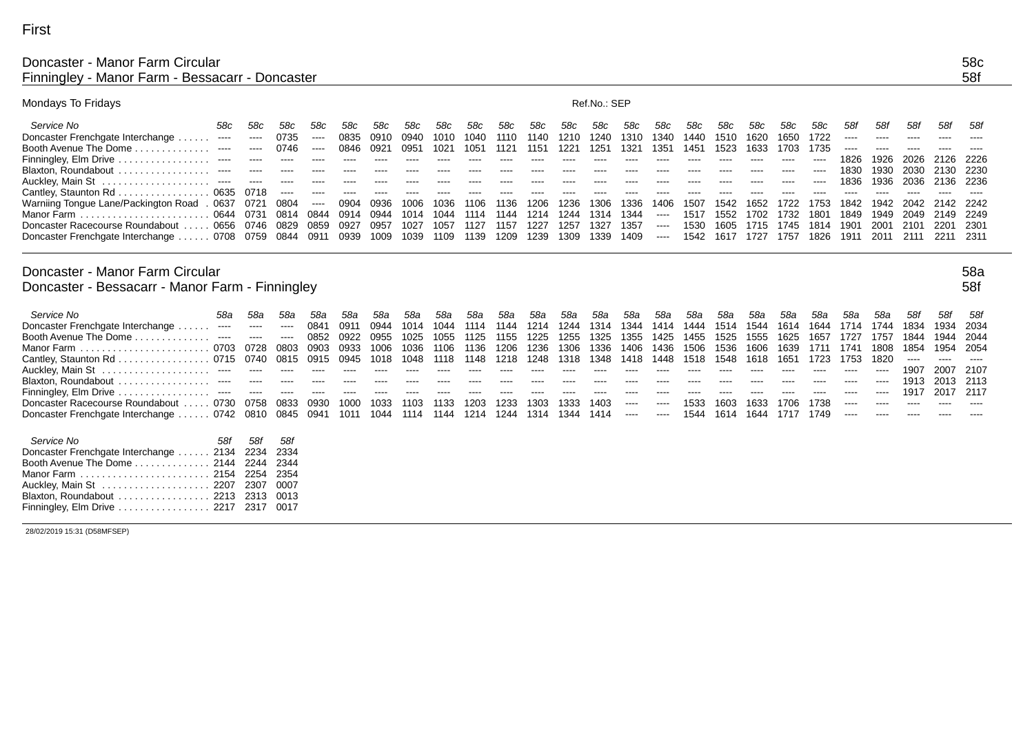# Doncaster - Manor Farm Circular 58c<br>Finningley - Manor Farm - Bessacarr - Doncaster 58c Finningley - Manor Farm - Bessacarr - Doncaster

| Mondays To Fridays                                                                 |                                                                                                                                                                                                                                                                                                                                                                                                                                                                                               |                                                                                                                                                                                                                                                                                                                                                                                                                                                                            |              |                  |              |              |              |              |              |              |              |              | Ref.No.: SEP |                                                                                                                                                                                                                                                                                                                                                                                                                                                                            |                      |              |              |              |             |              |                 |                      |                 |                      |                 |
|------------------------------------------------------------------------------------|-----------------------------------------------------------------------------------------------------------------------------------------------------------------------------------------------------------------------------------------------------------------------------------------------------------------------------------------------------------------------------------------------------------------------------------------------------------------------------------------------|----------------------------------------------------------------------------------------------------------------------------------------------------------------------------------------------------------------------------------------------------------------------------------------------------------------------------------------------------------------------------------------------------------------------------------------------------------------------------|--------------|------------------|--------------|--------------|--------------|--------------|--------------|--------------|--------------|--------------|--------------|----------------------------------------------------------------------------------------------------------------------------------------------------------------------------------------------------------------------------------------------------------------------------------------------------------------------------------------------------------------------------------------------------------------------------------------------------------------------------|----------------------|--------------|--------------|--------------|-------------|--------------|-----------------|----------------------|-----------------|----------------------|-----------------|
| Service No<br>Doncaster Frenchgate Interchange<br>.                                | 58c<br>$\begin{array}{cccccccccccccc} \multicolumn{2}{c}{} & \multicolumn{2}{c}{} & \multicolumn{2}{c}{} & \multicolumn{2}{c}{} & \multicolumn{2}{c}{} & \multicolumn{2}{c}{} & \multicolumn{2}{c}{} & \multicolumn{2}{c}{} & \multicolumn{2}{c}{} & \multicolumn{2}{c}{} & \multicolumn{2}{c}{} & \multicolumn{2}{c}{} & \multicolumn{2}{c}{} & \multicolumn{2}{c}{} & \multicolumn{2}{c}{} & \multicolumn{2}{c}{} & \multicolumn{2}{c}{} & \multicolumn{2}{c}{} & \multicolumn{2}{c}{} & \$ | 58c<br>$\cdots$                                                                                                                                                                                                                                                                                                                                                                                                                                                            | 58c<br>0735  | 58c<br>$\cdots$  | 58c<br>0835  | 58c<br>0910  | 58c<br>0940  | 58c<br>1010  | 58c<br>1040  | 58c<br>1110  | 58c<br>1140  | 58c<br>1210  | 58c<br>1240  | 58c<br>1310                                                                                                                                                                                                                                                                                                                                                                                                                                                                | 58c<br>1340          | 58c<br>1440  | 58c<br>1510  | 58c<br>1620  | 58c<br>1650 | 58c<br>1722  | 58f<br>$\cdots$ | 58f<br>$\frac{1}{2}$ | 58f<br>$\cdots$ | 58f<br>$\frac{1}{2}$ | 58f<br>$\cdots$ |
| Booth Avenue The Dome.<br>.                                                        |                                                                                                                                                                                                                                                                                                                                                                                                                                                                                               | $\cdots$                                                                                                                                                                                                                                                                                                                                                                                                                                                                   | 0746         | $---$            | 0846         | 0921         | 0951         | 1021         | 1051         | 1121         | 1151         | 1221         | 1251         | 1321                                                                                                                                                                                                                                                                                                                                                                                                                                                                       | 1351                 | 1451         | 1523         | 1633         | 1703        | 1735         | $-- -$          | ----                 | ----            |                      |                 |
| Finningley, Elm Drive                                                              |                                                                                                                                                                                                                                                                                                                                                                                                                                                                                               | ----                                                                                                                                                                                                                                                                                                                                                                                                                                                                       | $\cdots$     | ----             | $\cdots$     | $- - - -$    | ----         | ----         | $\cdots$     | $\cdots$     | ----         | $\cdots$     | $\cdots$     | $\cdots$                                                                                                                                                                                                                                                                                                                                                                                                                                                                   | $---$                | $---$        | $---$        | $\cdots$     | $\cdots$    | ----         | 1826            | 1926                 | 2026            | 2126                 | 2226            |
| Blaxton, Roundabout                                                                |                                                                                                                                                                                                                                                                                                                                                                                                                                                                                               | $\frac{1}{2}$                                                                                                                                                                                                                                                                                                                                                                                                                                                              | ----         | ----             | ----         | $- - - -$    | ----         | ----         | ----         | ----         |              | ----         | ----         | ----                                                                                                                                                                                                                                                                                                                                                                                                                                                                       |                      | ----         | ----         | ----         | ----        | ----         | 1830            | 1930                 | 2030            | 2130                 | 2230            |
| Auckley, Main St<br>.                                                              |                                                                                                                                                                                                                                                                                                                                                                                                                                                                                               |                                                                                                                                                                                                                                                                                                                                                                                                                                                                            |              |                  |              |              |              |              |              |              |              |              |              |                                                                                                                                                                                                                                                                                                                                                                                                                                                                            |                      |              |              |              |             | ----         | 1836            | 1936                 | 2036            | 2136                 | 2236            |
| Cantley, Staunton Rd                                                               | 0635                                                                                                                                                                                                                                                                                                                                                                                                                                                                                          | 0718                                                                                                                                                                                                                                                                                                                                                                                                                                                                       | $\cdots$     | ----             |              |              |              |              |              |              |              |              |              |                                                                                                                                                                                                                                                                                                                                                                                                                                                                            |                      |              |              |              |             |              | ----            |                      |                 |                      |                 |
| Warniing Tongue Lane/Packington Road<br>Manor Farm                                 | . 0637<br>0644 0731                                                                                                                                                                                                                                                                                                                                                                                                                                                                           | 0721                                                                                                                                                                                                                                                                                                                                                                                                                                                                       | 0804<br>0814 | $\cdots$<br>0844 | 0904<br>0914 | 0936<br>0944 | 1006<br>1014 | 1036<br>1044 | 1106<br>1114 | 1136<br>1144 | 1206<br>1214 | 1236<br>1244 | 1306<br>1314 | 1336<br>1344                                                                                                                                                                                                                                                                                                                                                                                                                                                               | 1406                 | 1507<br>1517 | 1542<br>1552 | 1652<br>1702 | 1732        | 1753<br>1801 | 1842<br>1849    | 1942<br>1949         | 2042<br>2049    | 2142<br>2149         | 2242<br>2249    |
| Doncaster Racecourse Roundabout                                                    | 0656                                                                                                                                                                                                                                                                                                                                                                                                                                                                                          | 0746                                                                                                                                                                                                                                                                                                                                                                                                                                                                       | 0829         | 0859             | 0927         | 0957         | 1027         | 1057         |              | 1157         | 1227         | 1257         | 1327         | 1357                                                                                                                                                                                                                                                                                                                                                                                                                                                                       | $\cdots$<br>$\cdots$ | 1530         | 1605         | 1715         | 1745        | 1814         | 1901            | 2001                 | 2101            | 2201                 | 2301            |
| Doncaster Frenchgate Interchange  0708                                             |                                                                                                                                                                                                                                                                                                                                                                                                                                                                                               | 0759                                                                                                                                                                                                                                                                                                                                                                                                                                                                       | 0844         | 0911             | 0939         | 1009         | 1039         | 1109         | 1139         | 1209         | 1239         | 1309         | 1339         | 1409                                                                                                                                                                                                                                                                                                                                                                                                                                                                       | ----                 | 1542         | 1617         | 1727         | 1757        | 1826         | 1911            | 2011                 | 2111            | 2211                 | 2311            |
|                                                                                    |                                                                                                                                                                                                                                                                                                                                                                                                                                                                                               |                                                                                                                                                                                                                                                                                                                                                                                                                                                                            |              |                  |              |              |              |              |              |              |              |              |              |                                                                                                                                                                                                                                                                                                                                                                                                                                                                            |                      |              |              |              |             |              |                 |                      |                 |                      |                 |
| Doncaster - Manor Farm Circular<br>Doncaster - Bessacarr - Manor Farm - Finningley |                                                                                                                                                                                                                                                                                                                                                                                                                                                                                               |                                                                                                                                                                                                                                                                                                                                                                                                                                                                            |              |                  |              |              |              |              |              |              |              |              |              |                                                                                                                                                                                                                                                                                                                                                                                                                                                                            |                      |              |              |              |             |              |                 |                      |                 |                      | 58a<br>58f      |
| Service No                                                                         | 58a                                                                                                                                                                                                                                                                                                                                                                                                                                                                                           | 58a                                                                                                                                                                                                                                                                                                                                                                                                                                                                        | 58a          | 58a              | 58a          | 58a          | 58a          | 58a          | 58a          | 58a          | 58a          | 58a          | 58a          | 58a                                                                                                                                                                                                                                                                                                                                                                                                                                                                        | 58a                  | 58a          | 58a          | 58a          | 58a         | 58a          | 58a             | 58a                  | 58f             | 58f                  | 58f             |
| Doncaster Frenchgate Interchange                                                   | $\cdots$                                                                                                                                                                                                                                                                                                                                                                                                                                                                                      | $\frac{1}{2} \left( \frac{1}{2} \right) \left( \frac{1}{2} \right) \left( \frac{1}{2} \right) \left( \frac{1}{2} \right) \left( \frac{1}{2} \right) \left( \frac{1}{2} \right) \left( \frac{1}{2} \right) \left( \frac{1}{2} \right) \left( \frac{1}{2} \right) \left( \frac{1}{2} \right) \left( \frac{1}{2} \right) \left( \frac{1}{2} \right) \left( \frac{1}{2} \right) \left( \frac{1}{2} \right) \left( \frac{1}{2} \right) \left( \frac{1}{2} \right) \left( \frac$ | $\cdots$     | 0841             | 0911         | 0944         | 1014         | 1044         | 1114         | 1144         | 1214         | 1244         | 1314         | 1344                                                                                                                                                                                                                                                                                                                                                                                                                                                                       | 1414                 | 1444         | 1514         | 1544         | 1614        | 1644         | 1714            | 1744                 | 1834            | 1934                 | 2034            |
| Booth Avenue The Dome                                                              | $\begin{array}{cccccccccccccc} \multicolumn{2}{c}{} & \multicolumn{2}{c}{} & \multicolumn{2}{c}{} & \multicolumn{2}{c}{} & \multicolumn{2}{c}{} & \multicolumn{2}{c}{} & \multicolumn{2}{c}{} & \multicolumn{2}{c}{} & \multicolumn{2}{c}{} & \multicolumn{2}{c}{} & \multicolumn{2}{c}{} & \multicolumn{2}{c}{} & \multicolumn{2}{c}{} & \multicolumn{2}{c}{} & \multicolumn{2}{c}{} & \multicolumn{2}{c}{} & \multicolumn{2}{c}{} & \multicolumn{2}{c}{} & \multicolumn{2}{c}{} & \$        | $- - - -$                                                                                                                                                                                                                                                                                                                                                                                                                                                                  | $\cdots$     | 0852             | 0922         | 0955         | 1025         | 1055         | 1125         | 1155         | 1225         | 1255         | 1325         | 1355                                                                                                                                                                                                                                                                                                                                                                                                                                                                       | 1425                 | 1455         | 1525         | 1555         | 1625        | 1657         | 1727            | 1757                 | 1844            | 1944                 | 2044            |
| Manor Farm.                                                                        | 0703                                                                                                                                                                                                                                                                                                                                                                                                                                                                                          | 0728                                                                                                                                                                                                                                                                                                                                                                                                                                                                       | 0803         | 0903             | 0933         | 1006         | 1036         | 1106         | 1136         | 1206         | 1236         | 1306         | 1336         | 1406                                                                                                                                                                                                                                                                                                                                                                                                                                                                       | 1436                 | 1506         | 1536         | 1606         | 1639        | 1711         | 1741            | 1808                 | 1854            | 1954                 | 2054            |
| Cantley, Staunton Rd                                                               | 0715                                                                                                                                                                                                                                                                                                                                                                                                                                                                                          | 0740                                                                                                                                                                                                                                                                                                                                                                                                                                                                       | 0815         | 0915             | 0945         | 1018         | 1048         | 1118         | 1148         | 1218         | 1248         | 1318         | 1348         | 1418                                                                                                                                                                                                                                                                                                                                                                                                                                                                       | 1448                 | 1518         | 1548         | 1618         | 1651        | 1723         | 1753            | 1820                 | ----            | ----                 | $---$           |
| Auckley, Main St<br>Blaxton, Roundabout                                            |                                                                                                                                                                                                                                                                                                                                                                                                                                                                                               | $---$<br>$\cdots$                                                                                                                                                                                                                                                                                                                                                                                                                                                          |              |                  |              |              |              |              |              |              |              |              |              |                                                                                                                                                                                                                                                                                                                                                                                                                                                                            |                      |              |              |              |             |              | ----<br>----    | ----<br>----         | 1907<br>1913    | 2007<br>2013         | 2107<br>2113    |
| Finningley, Elm Drive                                                              | $\cdots$                                                                                                                                                                                                                                                                                                                                                                                                                                                                                      | $\cdots$                                                                                                                                                                                                                                                                                                                                                                                                                                                                   | ----         | ----             |              |              | ----         |              |              |              |              |              | ----         |                                                                                                                                                                                                                                                                                                                                                                                                                                                                            |                      |              |              |              |             |              | ----            | ----                 | 1917            | 2017                 | 2117            |
| $\ldots$ 0730<br>Doncaster Racecourse Roundabout                                   |                                                                                                                                                                                                                                                                                                                                                                                                                                                                                               | 0758                                                                                                                                                                                                                                                                                                                                                                                                                                                                       | 0833         | 0930             | 1000         | 1033         | 1103         | 1133         | 1203         | 1233         | 1303         | 1333         | 1403         | $\cdots$                                                                                                                                                                                                                                                                                                                                                                                                                                                                   | ----                 | 1533         | 1603         | 1633         | 1706        | 1738         | $- - - -$       | ----                 |                 |                      |                 |
| Doncaster Frenchgate Interchange                                                   | . 0742                                                                                                                                                                                                                                                                                                                                                                                                                                                                                        | 0810                                                                                                                                                                                                                                                                                                                                                                                                                                                                       | 0845         | 0941             | 1011         | 1044         | 1114         | 1144         | 1214         | 1244         | 1314         | 1344         | 1414         | $\frac{1}{2} \left( \frac{1}{2} \right) \left( \frac{1}{2} \right) \left( \frac{1}{2} \right) \left( \frac{1}{2} \right) \left( \frac{1}{2} \right) \left( \frac{1}{2} \right) \left( \frac{1}{2} \right) \left( \frac{1}{2} \right) \left( \frac{1}{2} \right) \left( \frac{1}{2} \right) \left( \frac{1}{2} \right) \left( \frac{1}{2} \right) \left( \frac{1}{2} \right) \left( \frac{1}{2} \right) \left( \frac{1}{2} \right) \left( \frac{1}{2} \right) \left( \frac$ | $\cdots$             | 1544         | 1614         | 1644         | 1717        | 1749         | $\cdots$        | ----                 |                 |                      |                 |
| Service No                                                                         | 58f                                                                                                                                                                                                                                                                                                                                                                                                                                                                                           | 58f                                                                                                                                                                                                                                                                                                                                                                                                                                                                        | 58f          |                  |              |              |              |              |              |              |              |              |              |                                                                                                                                                                                                                                                                                                                                                                                                                                                                            |                      |              |              |              |             |              |                 |                      |                 |                      |                 |
| Doncaster Frenchgate Interchange                                                   | 2134                                                                                                                                                                                                                                                                                                                                                                                                                                                                                          | 2234                                                                                                                                                                                                                                                                                                                                                                                                                                                                       | 2334         |                  |              |              |              |              |              |              |              |              |              |                                                                                                                                                                                                                                                                                                                                                                                                                                                                            |                      |              |              |              |             |              |                 |                      |                 |                      |                 |
| Booth Avenue The Dome                                                              | 2144                                                                                                                                                                                                                                                                                                                                                                                                                                                                                          | 2244                                                                                                                                                                                                                                                                                                                                                                                                                                                                       | 2344         |                  |              |              |              |              |              |              |              |              |              |                                                                                                                                                                                                                                                                                                                                                                                                                                                                            |                      |              |              |              |             |              |                 |                      |                 |                      |                 |
| Manor Farm                                                                         | 2154                                                                                                                                                                                                                                                                                                                                                                                                                                                                                          | 2254                                                                                                                                                                                                                                                                                                                                                                                                                                                                       | 2354         |                  |              |              |              |              |              |              |              |              |              |                                                                                                                                                                                                                                                                                                                                                                                                                                                                            |                      |              |              |              |             |              |                 |                      |                 |                      |                 |
| Auckley, Main St                                                                   | 2207                                                                                                                                                                                                                                                                                                                                                                                                                                                                                          | 2307                                                                                                                                                                                                                                                                                                                                                                                                                                                                       | 0007         |                  |              |              |              |              |              |              |              |              |              |                                                                                                                                                                                                                                                                                                                                                                                                                                                                            |                      |              |              |              |             |              |                 |                      |                 |                      |                 |
| Blaxton, Roundabout                                                                | 2213                                                                                                                                                                                                                                                                                                                                                                                                                                                                                          | 2313                                                                                                                                                                                                                                                                                                                                                                                                                                                                       | 0013         |                  |              |              |              |              |              |              |              |              |              |                                                                                                                                                                                                                                                                                                                                                                                                                                                                            |                      |              |              |              |             |              |                 |                      |                 |                      |                 |
| Finningley, Elm Drive                                                              |                                                                                                                                                                                                                                                                                                                                                                                                                                                                                               | 2217 2317 0017                                                                                                                                                                                                                                                                                                                                                                                                                                                             |              |                  |              |              |              |              |              |              |              |              |              |                                                                                                                                                                                                                                                                                                                                                                                                                                                                            |                      |              |              |              |             |              |                 |                      |                 |                      |                 |

28/02/2019 15:31 (D58MFSEP)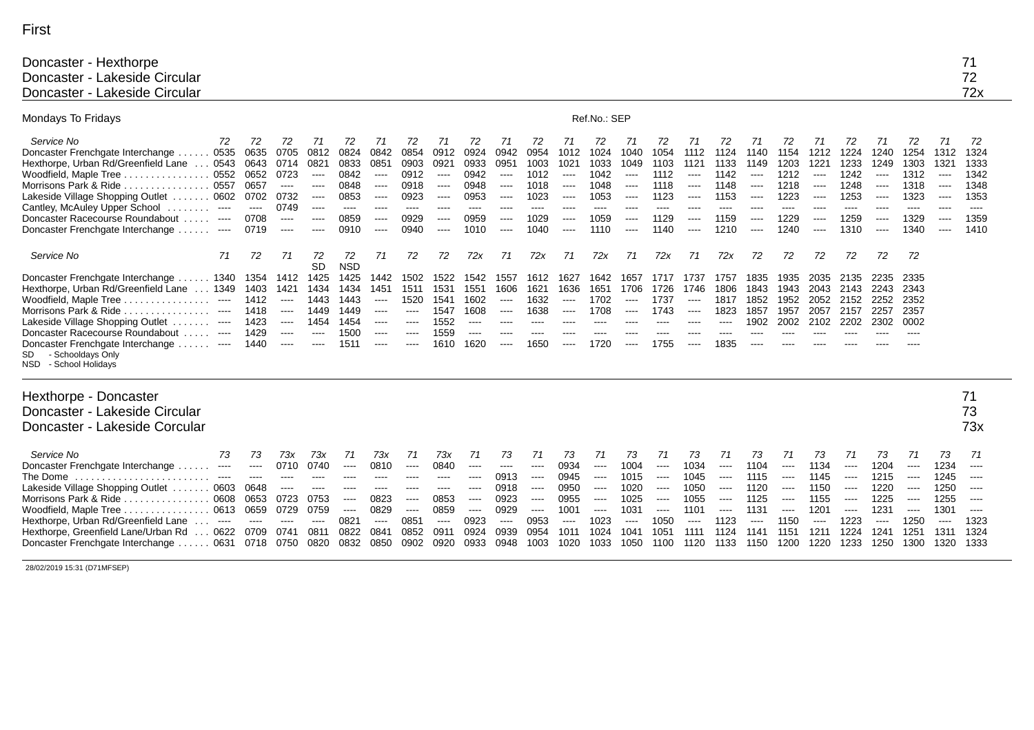| v.<br>$\sim$<br>۰. |  |
|--------------------|--|
|                    |  |

| Doncaster - Hexthorpe         |                          |
|-------------------------------|--------------------------|
| Doncaster - Lakeside Circular | $\overline{\phantom{a}}$ |
| Doncaster - Lakeside Circular | 72x                      |

| Mondays To Fridays                                                                                                                                                                                                                                                                                                                                                                                       |                                                                        |                                                                                                                                                                                                                                                                                                                                                                                                                                                                                                                                                                                                                                                                                                                                                                                                                                                                                                                                                                                                              |                                                                                       |                                                                                  |                                                                                                                                                                                                                                                                                                                                                                                                                                                                                                                                                                                                                                                                               |                                                                                    |                                                                                         |                                                                                        |                                                                                                                                                                                                                                                                                                                                                                                                                                                                                                                                                 |                                                                                                                                                                                                                                                                                                                                                                                                                                                                                                                                                                                                                                                                                                                                                                                                                                                                                                                                                                                                                                                    |                                                                                | Ref.No.: SEP                                                                                       |                                                                                         |                                                                                        |                                                                                                                                                                                                                                                                                                                                                                                                                                                                                                                                                  |                                                                                    |                                                                                        |                                                                                     |                                                                                      |                                                                                                                                                                                                                                                                                                                                                                                                                                                                                                                                                                      |                                                                                     |                                                                                        |                                                                                                                                                                                                                                                                                                                                                                                                                                                                                                                                                                |                                                                                                                                                                                                       |
|----------------------------------------------------------------------------------------------------------------------------------------------------------------------------------------------------------------------------------------------------------------------------------------------------------------------------------------------------------------------------------------------------------|------------------------------------------------------------------------|--------------------------------------------------------------------------------------------------------------------------------------------------------------------------------------------------------------------------------------------------------------------------------------------------------------------------------------------------------------------------------------------------------------------------------------------------------------------------------------------------------------------------------------------------------------------------------------------------------------------------------------------------------------------------------------------------------------------------------------------------------------------------------------------------------------------------------------------------------------------------------------------------------------------------------------------------------------------------------------------------------------|---------------------------------------------------------------------------------------|----------------------------------------------------------------------------------|-------------------------------------------------------------------------------------------------------------------------------------------------------------------------------------------------------------------------------------------------------------------------------------------------------------------------------------------------------------------------------------------------------------------------------------------------------------------------------------------------------------------------------------------------------------------------------------------------------------------------------------------------------------------------------|------------------------------------------------------------------------------------|-----------------------------------------------------------------------------------------|----------------------------------------------------------------------------------------|-------------------------------------------------------------------------------------------------------------------------------------------------------------------------------------------------------------------------------------------------------------------------------------------------------------------------------------------------------------------------------------------------------------------------------------------------------------------------------------------------------------------------------------------------|----------------------------------------------------------------------------------------------------------------------------------------------------------------------------------------------------------------------------------------------------------------------------------------------------------------------------------------------------------------------------------------------------------------------------------------------------------------------------------------------------------------------------------------------------------------------------------------------------------------------------------------------------------------------------------------------------------------------------------------------------------------------------------------------------------------------------------------------------------------------------------------------------------------------------------------------------------------------------------------------------------------------------------------------------|--------------------------------------------------------------------------------|----------------------------------------------------------------------------------------------------|-----------------------------------------------------------------------------------------|----------------------------------------------------------------------------------------|--------------------------------------------------------------------------------------------------------------------------------------------------------------------------------------------------------------------------------------------------------------------------------------------------------------------------------------------------------------------------------------------------------------------------------------------------------------------------------------------------------------------------------------------------|------------------------------------------------------------------------------------|----------------------------------------------------------------------------------------|-------------------------------------------------------------------------------------|--------------------------------------------------------------------------------------|----------------------------------------------------------------------------------------------------------------------------------------------------------------------------------------------------------------------------------------------------------------------------------------------------------------------------------------------------------------------------------------------------------------------------------------------------------------------------------------------------------------------------------------------------------------------|-------------------------------------------------------------------------------------|----------------------------------------------------------------------------------------|----------------------------------------------------------------------------------------------------------------------------------------------------------------------------------------------------------------------------------------------------------------------------------------------------------------------------------------------------------------------------------------------------------------------------------------------------------------------------------------------------------------------------------------------------------------|-------------------------------------------------------------------------------------------------------------------------------------------------------------------------------------------------------|
| Service No<br>72<br>0535<br>Doncaster Frenchgate Interchange<br>. 0543<br>Hexthorpe, Urban Rd/Greenfield Lane<br>0552<br>Woodfield, Maple Tree<br>0557<br>Morrisons Park & Ride<br>Lakeside Village Shopping Outlet  0602<br>Cantley, McAuley Upper School<br>$\hspace{0.1em} \ldots \hspace{0.1em}$<br>Doncaster Racecourse Roundabout<br>$\cdots$<br>Doncaster Frenchgate Interchange<br>$\sim$ $\sim$ | 72<br>0635<br>0643<br>0652<br>0657<br>0702<br>$\cdots$<br>0708<br>0719 | 72<br>0705<br>0714<br>0723<br>$\cdots$<br>0732<br>0749<br>$\frac{1}{2} \left( \frac{1}{2} \right) \left( \frac{1}{2} \right) \left( \frac{1}{2} \right) \left( \frac{1}{2} \right)$<br>----                                                                                                                                                                                                                                                                                                                                                                                                                                                                                                                                                                                                                                                                                                                                                                                                                  | 71<br>0812<br>0821<br>$\cdots$<br>$---$<br>$\cdots$<br>$\cdots$<br>$----$<br>$\cdots$ | 72<br>0824<br>0833<br>0842<br>0848<br>0853<br>$\cdots$<br>0859<br>0910           | 71<br>0842<br>0851<br>$\frac{1}{2} \left( \frac{1}{2} \right) \left( \frac{1}{2} \right) \left( \frac{1}{2} \right) \left( \frac{1}{2} \right) \left( \frac{1}{2} \right) \left( \frac{1}{2} \right) \left( \frac{1}{2} \right) \left( \frac{1}{2} \right) \left( \frac{1}{2} \right) \left( \frac{1}{2} \right) \left( \frac{1}{2} \right) \left( \frac{1}{2} \right) \left( \frac{1}{2} \right) \left( \frac{1}{2} \right) \left( \frac{1}{2} \right) \left( \frac{1}{2} \right) \left( \frac$<br>$\cdots$<br>$\cdots$<br>$\frac{1}{2} \left( \frac{1}{2} \right) \left( \frac{1}{2} \right) \left( \frac{1}{2} \right) \left( \frac{1}{2} \right)$<br>$\cdots$<br>$\cdots$ | 72<br>0854<br>0903<br>0912<br>0918<br>0923<br>$\cdots$<br>0929<br>0940             | 71<br>0912<br>0921<br>$\cdots$<br>$\cdots$<br>$\cdots$<br>$---$<br>$\cdots$<br>$\cdots$ | 72<br>0924<br>0933<br>0942<br>0948<br>0953<br>----<br>0959<br>1010                     | 71<br>0942<br>0951<br>$---$<br>$---$<br>$---$<br>----<br>$\cdots$<br>$\cdots$                                                                                                                                                                                                                                                                                                                                                                                                                                                                   | 72<br>0954<br>1003<br>1012<br>1018<br>1023<br>$---$<br>1029<br>1040                                                                                                                                                                                                                                                                                                                                                                                                                                                                                                                                                                                                                                                                                                                                                                                                                                                                                                                                                                                | 71<br>1012<br>1021<br>$\cdots$<br>----<br>$\cdots$<br>----<br>----<br>$\cdots$ | 72<br>1024<br>1033<br>1042<br>1048<br>1053<br>----<br>1059<br>1110                                 | 71<br>1040<br>1049<br>$\cdots$<br>$\cdots$<br>$\cdots$<br>$---$<br>$\cdots$<br>$\cdots$ | 72<br>1054<br>1103<br>1112<br>1118<br>1123<br>----<br>1129<br>1140                     | 71<br>1112<br>1121<br>$\cdots$<br>$\cdots$<br>$\cdots$<br>$\frac{1}{2} \left( \frac{1}{2} \right) \left( \frac{1}{2} \right) \left( \frac{1}{2} \right) \left( \frac{1}{2} \right) \left( \frac{1}{2} \right) \left( \frac{1}{2} \right) \left( \frac{1}{2} \right) \left( \frac{1}{2} \right) \left( \frac{1}{2} \right) \left( \frac{1}{2} \right) \left( \frac{1}{2} \right) \left( \frac{1}{2} \right) \left( \frac{1}{2} \right) \left( \frac{1}{2} \right) \left( \frac{1}{2} \right) \left( \frac{1}{2} \right) \left( \frac$<br>$\cdots$ | 72<br>1124<br>1133<br>1142<br>1148<br>1153<br>$---$<br>1159<br>1210                | 71<br>1140<br>1149<br>$\cdots$<br>$\cdots$<br>$\cdots$<br>----<br>$\cdots$<br>$\cdots$ | 72<br>1154<br>1203<br>1212<br>1218<br>1223<br>----<br>1229<br>1240                  | 71<br>1212<br>1221<br>$\cdots$<br>$\cdots$<br>$---$<br>$---$<br>$\cdots$<br>$\cdots$ | 72<br>1224<br>1233<br>1242<br>1248<br>1253<br>----<br>1259<br>1310                                                                                                                                                                                                                                                                                                                                                                                                                                                                                                   | 71<br>1240<br>1249<br>$\cdots$<br>$---$<br>$\cdots$<br>----<br>$\cdots$<br>$\cdots$ | 72<br>1254<br>1303<br>1312<br>1318<br>1323<br>$---$<br>1329<br>1340                    | 71<br>1312<br>132'<br>$\frac{1}{2}$<br>$\cdots$<br>$\cdots$<br>$---$<br>$\cdots$<br>$\frac{1}{2} \left( \frac{1}{2} \right) \left( \frac{1}{2} \right) \left( \frac{1}{2} \right) \left( \frac{1}{2} \right) \left( \frac{1}{2} \right) \left( \frac{1}{2} \right) \left( \frac{1}{2} \right) \left( \frac{1}{2} \right) \left( \frac{1}{2} \right) \left( \frac{1}{2} \right) \left( \frac{1}{2} \right) \left( \frac{1}{2} \right) \left( \frac{1}{2} \right) \left( \frac{1}{2} \right) \left( \frac{1}{2} \right) \left( \frac{1}{2} \right) \left( \frac$ | 72<br>1324<br>1333<br>1342<br>1348<br>1353<br>----<br>1359<br>1410                                                                                                                                    |
| Service No<br>71                                                                                                                                                                                                                                                                                                                                                                                         | 72                                                                     | 71                                                                                                                                                                                                                                                                                                                                                                                                                                                                                                                                                                                                                                                                                                                                                                                                                                                                                                                                                                                                           | 72<br><b>SD</b>                                                                       | 72<br><b>NSD</b>                                                                 | 71                                                                                                                                                                                                                                                                                                                                                                                                                                                                                                                                                                                                                                                                            | 72                                                                                 | 72                                                                                      | 72x                                                                                    | 71                                                                                                                                                                                                                                                                                                                                                                                                                                                                                                                                              | 72x                                                                                                                                                                                                                                                                                                                                                                                                                                                                                                                                                                                                                                                                                                                                                                                                                                                                                                                                                                                                                                                | 71                                                                             | 72x                                                                                                | 71                                                                                      | 72x                                                                                    | 71                                                                                                                                                                                                                                                                                                                                                                                                                                                                                                                                               | 72x                                                                                | 72                                                                                     | 72                                                                                  | 72                                                                                   | 72                                                                                                                                                                                                                                                                                                                                                                                                                                                                                                                                                                   | 72                                                                                  | -72                                                                                    |                                                                                                                                                                                                                                                                                                                                                                                                                                                                                                                                                                |                                                                                                                                                                                                       |
| Doncaster Frenchgate Interchange  1340<br>Hexthorpe, Urban Rd/Greenfield Lane<br>$\ldots$ 1349<br>Woodfield, Maple Tree<br>$\cdots$<br>.<br>Morrisons Park & Ride<br>$---$<br>.<br>Lakeside Village Shopping Outlet.<br>$\cdots$<br>Doncaster Racecourse Roundabout<br>$\cdots$<br>Doncaster Frenchgate Interchange ----<br>- Schooldays Only<br>SD<br>NSD - School Holidays                             | 1354<br>1403<br>1412<br>1418<br>1423<br>1429<br>1440                   | 1412<br>1421<br>$\cdots$<br>$\frac{1}{2} \left( \frac{1}{2} \right) \left( \frac{1}{2} \right) \left( \frac{1}{2} \right) \left( \frac{1}{2} \right) \left( \frac{1}{2} \right) \left( \frac{1}{2} \right) \left( \frac{1}{2} \right) \left( \frac{1}{2} \right) \left( \frac{1}{2} \right) \left( \frac{1}{2} \right) \left( \frac{1}{2} \right) \left( \frac{1}{2} \right) \left( \frac{1}{2} \right) \left( \frac{1}{2} \right) \left( \frac{1}{2} \right) \left( \frac{1}{2} \right) \left( \frac$<br>$\cdots$<br>$\cdots$<br>$\frac{1}{2} \left( \frac{1}{2} \right) \left( \frac{1}{2} \right) \left( \frac{1}{2} \right) \left( \frac{1}{2} \right) \left( \frac{1}{2} \right) \left( \frac{1}{2} \right) \left( \frac{1}{2} \right) \left( \frac{1}{2} \right) \left( \frac{1}{2} \right) \left( \frac{1}{2} \right) \left( \frac{1}{2} \right) \left( \frac{1}{2} \right) \left( \frac{1}{2} \right) \left( \frac{1}{2} \right) \left( \frac{1}{2} \right) \left( \frac{1}{2} \right) \left( \frac$ | 1425<br>1434<br>1443<br>1449<br>1454<br>$\cdots$<br>$\cdots$                          | 1425<br>1434<br>1443<br>1449<br>1454<br>1500<br>1511                             | 1442<br>1451<br>$\cdots$<br>$\frac{1}{2} \left( \frac{1}{2} \right) \left( \frac{1}{2} \right) \left( \frac{1}{2} \right) \left( \frac{1}{2} \right)$<br>$\cdots$<br>$---$<br>$\cdots$                                                                                                                                                                                                                                                                                                                                                                                                                                                                                        | 1502<br>1511<br>1520<br>$\cdots$<br>$\cdots$<br>$\cdots$<br>$\cdots$               | 1522<br>1531<br>1541<br>1547<br>1552<br>1559<br>1610                                    | 1542<br>1551<br>1602<br>1608<br>$\cdots$<br>$\cdots$<br>1620                           | 1557<br>1606<br>$---$<br>$\begin{array}{ccc} \multicolumn{3}{c}{} & \multicolumn{3}{c}{} & \multicolumn{3}{c}{} & \multicolumn{3}{c}{} & \multicolumn{3}{c}{} & \multicolumn{3}{c}{} & \multicolumn{3}{c}{} & \multicolumn{3}{c}{} & \multicolumn{3}{c}{} & \multicolumn{3}{c}{} & \multicolumn{3}{c}{} & \multicolumn{3}{c}{} & \multicolumn{3}{c}{} & \multicolumn{3}{c}{} & \multicolumn{3}{c}{} & \multicolumn{3}{c}{} & \multicolumn{3}{c}{} & \multicolumn{3}{c}{} & \multicolumn{3}{c}{} & \multicolumn$<br>$\cdots$<br>----<br>$\cdots$ | 1612<br>1621<br>1632<br>1638<br>$\cdots$<br>$\cdots$<br>1650                                                                                                                                                                                                                                                                                                                                                                                                                                                                                                                                                                                                                                                                                                                                                                                                                                                                                                                                                                                       | 1627<br>1636<br>----<br>$\cdots$<br>----<br>$\cdots$                           | 1642<br>1651<br>1702<br>1708<br>----<br>1720                                                       | 1657<br>1706<br>$---$<br>$\frac{1}{2}$<br>$---$<br>$\cdots$                             | 1717<br>1726<br>1737<br>1743<br>----<br>1755                                           | 1737<br>1746<br>----<br>$\cdots$<br>----<br>$\cdots$                                                                                                                                                                                                                                                                                                                                                                                                                                                                                             | 1757<br>1806<br>1817<br>1823<br>$---$<br>----<br>1835                              | 1835<br>1843<br>1852<br>1857<br>1902<br>----                                           | 1935<br>1943<br>1952<br>1957<br>2002                                                | 2035<br>2043<br>2052<br>2057<br>2102                                                 | 2135<br>2143<br>2152<br>2157<br>2202                                                                                                                                                                                                                                                                                                                                                                                                                                                                                                                                 | 2235<br>2243<br>2252<br>2257<br>2302                                                | 2335<br>2343<br>2352<br>2357<br>0002<br>----                                           |                                                                                                                                                                                                                                                                                                                                                                                                                                                                                                                                                                |                                                                                                                                                                                                       |
| Hexthorpe - Doncaster                                                                                                                                                                                                                                                                                                                                                                                    |                                                                        |                                                                                                                                                                                                                                                                                                                                                                                                                                                                                                                                                                                                                                                                                                                                                                                                                                                                                                                                                                                                              |                                                                                       |                                                                                  |                                                                                                                                                                                                                                                                                                                                                                                                                                                                                                                                                                                                                                                                               |                                                                                    |                                                                                         |                                                                                        |                                                                                                                                                                                                                                                                                                                                                                                                                                                                                                                                                 |                                                                                                                                                                                                                                                                                                                                                                                                                                                                                                                                                                                                                                                                                                                                                                                                                                                                                                                                                                                                                                                    |                                                                                |                                                                                                    |                                                                                         |                                                                                        |                                                                                                                                                                                                                                                                                                                                                                                                                                                                                                                                                  |                                                                                    |                                                                                        |                                                                                     |                                                                                      |                                                                                                                                                                                                                                                                                                                                                                                                                                                                                                                                                                      |                                                                                     |                                                                                        |                                                                                                                                                                                                                                                                                                                                                                                                                                                                                                                                                                | 71                                                                                                                                                                                                    |
| Doncaster - Lakeside Circular<br>Doncaster - Lakeside Corcular                                                                                                                                                                                                                                                                                                                                           |                                                                        |                                                                                                                                                                                                                                                                                                                                                                                                                                                                                                                                                                                                                                                                                                                                                                                                                                                                                                                                                                                                              |                                                                                       |                                                                                  |                                                                                                                                                                                                                                                                                                                                                                                                                                                                                                                                                                                                                                                                               |                                                                                    |                                                                                         |                                                                                        |                                                                                                                                                                                                                                                                                                                                                                                                                                                                                                                                                 |                                                                                                                                                                                                                                                                                                                                                                                                                                                                                                                                                                                                                                                                                                                                                                                                                                                                                                                                                                                                                                                    |                                                                                |                                                                                                    |                                                                                         |                                                                                        |                                                                                                                                                                                                                                                                                                                                                                                                                                                                                                                                                  |                                                                                    |                                                                                        |                                                                                     |                                                                                      |                                                                                                                                                                                                                                                                                                                                                                                                                                                                                                                                                                      |                                                                                     |                                                                                        |                                                                                                                                                                                                                                                                                                                                                                                                                                                                                                                                                                | 73<br>73x                                                                                                                                                                                             |
| Service No<br>73<br>Doncaster Frenchgate Interchange<br>$\sim$ $\sim$ $\sim$<br>The Dome<br>$\cdots$<br>Lakeside Village Shopping Outlet<br>.0603<br>Morrisons Park & Ride<br>0608<br>Woodfield, Maple Tree<br>0613<br>Hexthorpe, Urban Rd/Greenfield Lane<br>$---$<br>$\ldots$ 0622<br>Hexthorpe, Greenfield Lane/Urban Rd<br>. 0631<br>Doncaster Frenchgate Interchange.                               | 73<br>$\cdots$<br>$\cdots$<br>0648<br>0653<br>0659<br>0709<br>0718     | 73x<br>0710<br>$\frac{1}{2} \left( \frac{1}{2} \right) \left( \frac{1}{2} \right) \left( \frac{1}{2} \right) \left( \frac{1}{2} \right)$<br>$\cdots$<br>0723<br>0729<br>----<br>0741<br>0750                                                                                                                                                                                                                                                                                                                                                                                                                                                                                                                                                                                                                                                                                                                                                                                                                 | 73x<br>0740<br>$\cdots$<br>$\cdots$<br>0753<br>0759<br>----<br>0811<br>0820           | 71<br>$\cdots$<br>$-- -$<br>----<br>$\cdots$<br>$\cdots$<br>0821<br>0822<br>0832 | 73x<br>0810<br>$\frac{1}{2}$<br>----<br>0823<br>0829<br>$\cdots$<br>0841<br>0850                                                                                                                                                                                                                                                                                                                                                                                                                                                                                                                                                                                              | 71<br>$\cdots$<br>$\cdots$<br>----<br>$\cdots$<br>$\cdots$<br>0851<br>0852<br>0902 | 73x<br>0840<br>$\cdots$<br>----<br>0853<br>0859<br>$\cdots$<br>0911<br>0920             | 71<br>$\cdots$<br>$\cdots$<br>$\cdots$<br>$\cdots$<br>$\cdots$<br>0923<br>0924<br>0933 | 73<br>$\cdots$<br>0913<br>0918<br>0923<br>0929<br>$---$<br>0939<br>0948                                                                                                                                                                                                                                                                                                                                                                                                                                                                         | 71<br>$\cdots$<br>$\cdots$<br>$\cdots$<br>$\begin{array}{ccc} \multicolumn{3}{c}{} & \multicolumn{3}{c}{} & \multicolumn{3}{c}{} & \multicolumn{3}{c}{} & \multicolumn{3}{c}{} & \multicolumn{3}{c}{} & \multicolumn{3}{c}{} & \multicolumn{3}{c}{} & \multicolumn{3}{c}{} & \multicolumn{3}{c}{} & \multicolumn{3}{c}{} & \multicolumn{3}{c}{} & \multicolumn{3}{c}{} & \multicolumn{3}{c}{} & \multicolumn{3}{c}{} & \multicolumn{3}{c}{} & \multicolumn{3}{c}{} & \multicolumn{3}{c}{} & \multicolumn{3}{c}{} & \multicolumn$<br>$\begin{array}{ccc} \multicolumn{3}{c}{} & \multicolumn{3}{c}{} & \multicolumn{3}{c}{} & \multicolumn{3}{c}{} & \multicolumn{3}{c}{} & \multicolumn{3}{c}{} & \multicolumn{3}{c}{} & \multicolumn{3}{c}{} & \multicolumn{3}{c}{} & \multicolumn{3}{c}{} & \multicolumn{3}{c}{} & \multicolumn{3}{c}{} & \multicolumn{3}{c}{} & \multicolumn{3}{c}{} & \multicolumn{3}{c}{} & \multicolumn{3}{c}{} & \multicolumn{3}{c}{} & \multicolumn{3}{c}{} & \multicolumn{3}{c}{} & \multicolumn$<br>0953<br>0954<br>1003 | 73<br>0934<br>0945<br>0950<br>0955<br>1001<br>----<br>101'<br>1020             | 71<br>$\sim$ $\sim$ $\sim$<br>$\cdots$<br>$\cdots$<br>$\cdots$<br>$\cdots$<br>1023<br>1024<br>1033 | 73<br>1004<br>1015<br>1020<br>1025<br>1031<br>----<br>1041<br>1050                      | 71<br>$\cdots$<br>$\cdots$<br>$\cdots$<br>$\cdots$<br>$\cdots$<br>1050<br>1051<br>1100 | 73<br>1034<br>1045<br>1050<br>1055<br>1101<br>----<br>1111<br>1120                                                                                                                                                                                                                                                                                                                                                                                                                                                                               | 71<br>$\cdots$<br>$\cdots$<br>----<br>$\cdots$<br>$\cdots$<br>1123<br>1124<br>1133 | 73<br>1104<br>1115<br>1120<br>1125<br>1131<br>----<br>$114^{\circ}$<br>1150            | 71<br>$---$<br>$\cdots$<br>$\cdots$<br>$\cdots$<br>$\cdots$<br>1150<br>1151<br>1200 | 73<br>1134<br>1145<br>1150<br>1155<br>1201<br>$---$<br>1211<br>1220                  | 71<br>$\cdots$<br>$\cdots$<br>$\cdots$<br>$\cdots$<br>$\begin{array}{cccccccccc} \multicolumn{2}{c}{} & \multicolumn{2}{c}{} & \multicolumn{2}{c}{} & \multicolumn{2}{c}{} & \multicolumn{2}{c}{} & \multicolumn{2}{c}{} & \multicolumn{2}{c}{} & \multicolumn{2}{c}{} & \multicolumn{2}{c}{} & \multicolumn{2}{c}{} & \multicolumn{2}{c}{} & \multicolumn{2}{c}{} & \multicolumn{2}{c}{} & \multicolumn{2}{c}{} & \multicolumn{2}{c}{} & \multicolumn{2}{c}{} & \multicolumn{2}{c}{} & \multicolumn{2}{c}{} & \multicolumn{2}{c}{} & \mult$<br>1223<br>1224<br>1233 | 73<br>1204<br>1215<br>1220<br>1225<br>1231<br>----<br>1241<br>1250                  | 71<br>$\cdots$<br>$\cdots$<br>$\cdots$<br>$\cdots$<br>$\cdots$<br>1250<br>1251<br>1300 | 73<br>1234<br>1245<br>1250<br>1255<br>1301<br>----<br>131'<br>1320                                                                                                                                                                                                                                                                                                                                                                                                                                                                                             | 71<br>$\cdots$<br>$\cdots$<br>$-- -$<br>$\frac{1}{2} \left( \frac{1}{2} \right) \left( \frac{1}{2} \right) \left( \frac{1}{2} \right) \left( \frac{1}{2} \right)$<br>$\cdots$<br>1323<br>1324<br>1333 |

28/02/2019 15:31 (D71MFSEP)